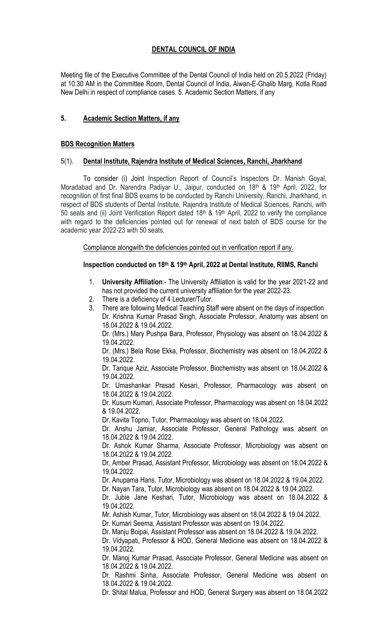# DENTAL COUNCIL OF INDIA

Meeting file of the Executive Committee of the Dental Council of India held on 20.5.2022 (Friday) at 10.30 AM in the Committee Room, Dental Council of India, Aiwan-E-Ghalib Marg, Kotla Road New Delhi in respect of compliance cases. 5. Academic Section Matters, if any

# 5. Academic Section Matters, if any

## BDS Recognition Matters

# 5(1). Dental Institute, Rajendra Institute of Medical Sciences, Ranchi, Jharkhand

To consider (i) Joint Inspection Report of Council's Inspectors Dr. Manish Goyal, Moradabad and Dr. Narendra Padiyar U., Jaipur, conducted on 18th & 19th April, 2022, for recognition of first final BDS exams to be conducted by Ranchi University, Ranchi, Jharkhand, in respect of BDS students of Dental Institute, Rajendra Institute of Medical Sciences, Ranchi, with 50 seats and (ii) Joint Verification Report dated 18th & 19th April, 2022 to verify the compliance with regard to the deficiencies pointed out for renewal of next batch of BDS course for the academic year 2022-23 with 50 seats.

Compliance alongwith the deficiencies pointed out in verification report if any.

# Inspection conducted on 18<sup>th</sup> & 19<sup>th</sup> April, 2022 at Dental Institute, RIIMS, Ranchi

- 1. University Affiliation:- The University Affiliation is valid for the year 2021-22 and has not provided the current university affiliation for the year 2022-23.
- 2. There is a deficiency of 4 Lecturer/Tutor.
- 3. There are following Medical Teaching Staff were absent on the days of inspection Dr. Krishna Kumar Prasad Singh, Associate Professor, Anatomy was absent on 18.04.2022 & 19.04.2022.

Dr. (Mrs.) Mary Pushpa Bara, Professor, Physiology was absent on 18.04.2022 & 19.04.2022.

Dr. (Mrs.) Bela Rose Ekka, Professor, Biochemistry was absent on 18.04.2022 & 19.04.2022.

Dr. Tarique Aziz, Associate Professor, Biochemistry was absent on 18.04.2022 & 19.04.2022.

Dr. Umashankar Prasad Kesari, Professor, Pharmacology was absent on 18.04.2022 & 19.04.2022.

Dr. Kusum Kumari, Associate Professor, Pharmacology was absent on 18.04.2022 & 19.04.2022.

Dr. Kavita Topno, Tutor, Pharmacology was absent on 18.04.2022.

Dr. Anshu Jamiar, Associate Professor, General Pathology was absent on 18.04.2022 & 19.04.2022.

Dr. Ashok Kumar Sharma, Associate Professor, Microbiology was absent on 18.04.2022 & 19.04.2022.

Dr. Amber Prasad, Assistant Professor, Microbiology was absent on 18.04.2022 & 19.04.2022.

Dr. Anupama Hans, Tutor, Microbiology was absent on 18.04.2022 & 19.04.2022.

Dr. Nayan Tara, Tutor, Microbiology was absent on 18.04.2022 & 19.04.2022.

Dr. Jubie Jane Keshari, Tutor, Microbiology was absent on 18.04.2022 & 19.04.2022.

Mr. Ashish Kumar, Tutor, Microbiology was absent on 18.04.2022 & 19.04.2022. Dr. Kumari Seema, Assistant Professor was absent on 19.04.2022.

Dr. Manju Boipai, Assistant Professor was absent on 18.04.2022 & 19.04.2022.

Dr. Vidyapati, Professor & HOD, General Medicine was absent on 18.04.2022 & 19.04.2022.

Dr. Manoj Kumar Prasad, Associate Professor, General Medicine was absent on 18.04.2022 & 19.04.2022.

Dr. Rashmi Sinha, Associate Professor, General Medicine was absent on 18.04.2022 & 19.04.2022.

Dr. Shital Malua, Professor and HOD, General Surgery was absent on 18.04.2022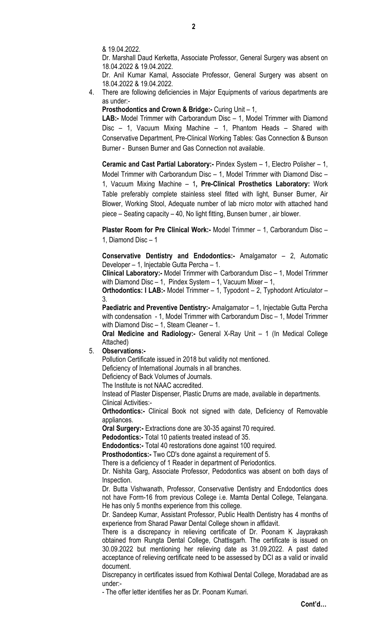& 19.04.2022.

Dr. Marshall Daud Kerketta, Associate Professor, General Surgery was absent on 18.04.2022 & 19.04.2022.

Dr. Anil Kumar Kamal, Associate Professor, General Surgery was absent on 18.04.2022 & 19.04.2022.

4. There are following deficiencies in Major Equipments of various departments are as under:-

Prosthodontics and Crown & Bridge:- Curing Unit – 1,

LAB:- Model Trimmer with Carborandum Disc – 1, Model Trimmer with Diamond Disc – 1, Vacuum Mixing Machine – 1, Phantom Heads – Shared with Conservative Department, Pre-Clinical Working Tables: Gas Connection & Bunson Burner - Bunsen Burner and Gas Connection not available.

Ceramic and Cast Partial Laboratory:- Pindex System – 1, Electro Polisher – 1, Model Trimmer with Carborandum Disc – 1, Model Trimmer with Diamond Disc – 1, Vacuum Mixing Machine – 1, Pre-Clinical Prosthetics Laboratory: Work Table preferably complete stainless steel fitted with light, Bunser Burner, Air Blower, Working Stool, Adequate number of lab micro motor with attached hand piece – Seating capacity – 40, No light fitting, Bunsen burner , air blower.

Plaster Room for Pre Clinical Work:- Model Trimmer - 1, Carborandum Disc -1, Diamond Disc – 1

Conservative Dentistry and Endodontics:- Amalgamator – 2, Automatic Developer – 1, Injectable Gutta Percha – 1.

Clinical Laboratory:- Model Trimmer with Carborandum Disc – 1, Model Trimmer with Diamond Disc – 1, Pindex System – 1, Vacuum Mixer – 1,

Orthodontics: I LAB:- Model Trimmer - 1, Typodont - 2, Typhodont Articulator -3.

Paediatric and Preventive Dentistry:- Amalgamator - 1, Injectable Gutta Percha with condensation - 1, Model Trimmer with Carborandum Disc – 1, Model Trimmer with Diamond Disc – 1, Steam Cleaner – 1.

Oral Medicine and Radiology:- General X-Ray Unit – 1 (In Medical College Attached)

#### 5. Observations:-

Pollution Certificate issued in 2018 but validity not mentioned.

Deficiency of International Journals in all branches.

Deficiency of Back Volumes of Journals.

The Institute is not NAAC accredited.

Instead of Plaster Dispenser, Plastic Drums are made, available in departments. Clinical Activities:-

Orthodontics:- Clinical Book not signed with date, Deficiency of Removable appliances.

Oral Surgery:- Extractions done are 30-35 against 70 required.

Pedodontics:- Total 10 patients treated instead of 35.

Endodontics:- Total 40 restorations done against 100 required.

Prosthodontics:- Two CD's done against a requirement of 5.

There is a deficiency of 1 Reader in department of Periodontics.

Dr. Nishita Garg, Associate Professor, Pedodontics was absent on both days of Inspection.

Dr. Butta Vishwanath, Professor, Conservative Dentistry and Endodontics does not have Form-16 from previous College i.e. Mamta Dental College, Telangana. He has only 5 months experience from this college.

Dr. Sandeep Kumar, Assistant Professor, Public Health Dentistry has 4 months of experience from Sharad Pawar Dental College shown in affidavit.

There is a discrepancy in relieving certificate of Dr. Poonam K Jayprakash obtained from Rungta Dental College, Chattisgarh. The certificate is issued on 30.09.2022 but mentioning her relieving date as 31.09.2022. A past dated acceptance of relieving certificate need to be assessed by DCI as a valid or invalid document.

Discrepancy in certificates issued from Kothiwal Dental College, Moradabad are as under:-

- The offer letter identifies her as Dr. Poonam Kumari.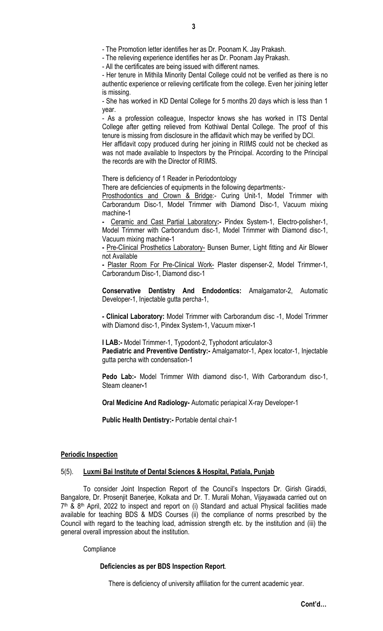- The Promotion letter identifies her as Dr. Poonam K. Jay Prakash.

- The relieving experience identifies her as Dr. Poonam Jay Prakash.

- All the certificates are being issued with different names.

- Her tenure in Mithila Minority Dental College could not be verified as there is no authentic experience or relieving certificate from the college. Even her joining letter is missing.

- She has worked in KD Dental College for 5 months 20 days which is less than 1 year.

- As a profession colleague, Inspector knows she has worked in ITS Dental College after getting relieved from Kothiwal Dental College. The proof of this tenure is missing from disclosure in the affidavit which may be verified by DCI.

Her affidavit copy produced during her joining in RIIMS could not be checked as was not made available to Inspectors by the Principal. According to the Principal the records are with the Director of RIIMS.

There is deficiency of 1 Reader in Periodontology

There are deficiencies of equipments in the following departments:-

Prosthodontics and Crown & Bridge:- Curing Unit-1, Model Trimmer with Carborandum Disc-1, Model Trimmer with Diamond Disc-1, Vacuum mixing machine-1

Ceramic and Cast Partial Laboratory:- Pindex System-1, Electro-polisher-1, Model Trimmer with Carborandum disc-1, Model Trimmer with Diamond disc-1, Vacuum mixing machine-1

- Pre-Clinical Prosthetics Laboratory- Bunsen Burner, Light fitting and Air Blower not Available

- Plaster Room For Pre-Clinical Work- Plaster dispenser-2, Model Trimmer-1, Carborandum Disc-1, Diamond disc-1

Conservative Dentistry And Endodontics: Amalgamator-2, Automatic Developer-1, Injectable gutta percha-1,

- Clinical Laboratory: Model Trimmer with Carborandum disc -1, Model Trimmer with Diamond disc-1, Pindex System-1, Vacuum mixer-1

I LAB:- Model Trimmer-1, Typodont-2, Typhodont articulator-3

Paediatric and Preventive Dentistry:- Amalgamator-1, Apex locator-1, Injectable gutta percha with condensation-1

Pedo Lab:- Model Trimmer With diamond disc-1, With Carborandum disc-1, Steam cleaner-1

Oral Medicine And Radiology- Automatic periapical X-ray Developer-1

Public Health Dentistry:- Portable dental chair-1

#### Periodic Inspection

### 5(5). Luxmi Bai Institute of Dental Sciences & Hospital, Patiala, Punjab

To consider Joint Inspection Report of the Council's Inspectors Dr. Girish Giraddi, Bangalore, Dr. Prosenjit Banerjee, Kolkata and Dr. T. Murali Mohan, Vijayawada carried out on 7th & 8th April, 2022 to inspect and report on (i) Standard and actual Physical facilities made available for teaching BDS & MDS Courses (ii) the compliance of norms prescribed by the Council with regard to the teaching load, admission strength etc. by the institution and (iii) the general overall impression about the institution.

#### **Compliance**

#### Deficiencies as per BDS Inspection Report.

There is deficiency of university affiliation for the current academic year.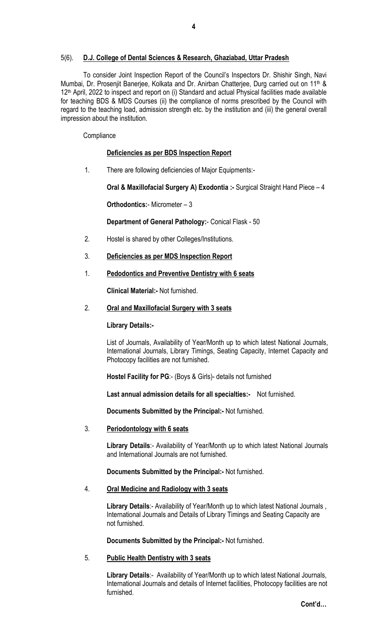# 5(6). D.J. College of Dental Sciences & Research, Ghaziabad, Uttar Pradesh

To consider Joint Inspection Report of the Council's Inspectors Dr. Shishir Singh, Navi Mumbai, Dr. Prosenjit Banerjee, Kolkata and Dr. Anirban Chatterjee, Durg carried out on 11<sup>th</sup> & 12<sup>th</sup> April, 2022 to inspect and report on (i) Standard and actual Physical facilities made available for teaching BDS & MDS Courses (ii) the compliance of norms prescribed by the Council with regard to the teaching load, admission strength etc. by the institution and (iii) the general overall impression about the institution.

#### **Compliance**

#### Deficiencies as per BDS Inspection Report

1. There are following deficiencies of Major Equipments:-

Oral & Maxillofacial Surgery A) Exodontia :- Surgical Straight Hand Piece – 4

Orthodontics:- Micrometer – 3

Department of General Pathology:- Conical Flask - 50

- 2. Hostel is shared by other Colleges/Institutions.
- 3. Deficiencies as per MDS Inspection Report

#### 1. Pedodontics and Preventive Dentistry with 6 seats

Clinical Material:- Not furnished.

2. Oral and Maxillofacial Surgery with 3 seats

Library Details:-

List of Journals, Availability of Year/Month up to which latest National Journals, International Journals, Library Timings, Seating Capacity, Internet Capacity and Photocopy facilities are not furnished.

Hostel Facility for PG:- (Boys & Girls)- details not furnished

Last annual admission details for all specialties:- Not furnished.

Documents Submitted by the Principal:- Not furnished.

3. Periodontology with 6 seats

Library Details:- Availability of Year/Month up to which latest National Journals and International Journals are not furnished.

Documents Submitted by the Principal:- Not furnished.

## 4. Oral Medicine and Radiology with 3 seats

Library Details:- Availability of Year/Month up to which latest National Journals, International Journals and Details of Library Timings and Seating Capacity are not furnished.

Documents Submitted by the Principal:- Not furnished.

#### 5. Public Health Dentistry with 3 seats

Library Details:- Availability of Year/Month up to which latest National Journals, International Journals and details of Internet facilities, Photocopy facilities are not furnished.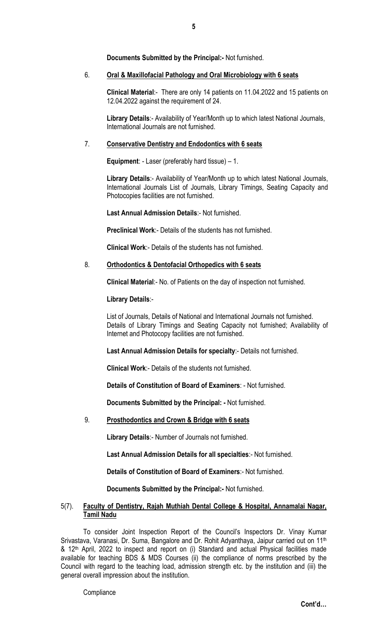Documents Submitted by the Principal:- Not furnished.

## 6. Oral & Maxillofacial Pathology and Oral Microbiology with 6 seats

Clinical Material:- There are only 14 patients on 11.04.2022 and 15 patients on 12.04.2022 against the requirement of 24.

Library Details:- Availability of Year/Month up to which latest National Journals, International Journals are not furnished.

## 7. Conservative Dentistry and Endodontics with 6 seats

Equipment: - Laser (preferably hard tissue) – 1.

Library Details:- Availability of Year/Month up to which latest National Journals, International Journals List of Journals, Library Timings, Seating Capacity and Photocopies facilities are not furnished.

Last Annual Admission Details:- Not furnished.

Preclinical Work:- Details of the students has not furnished.

Clinical Work:- Details of the students has not furnished.

# 8. Orthodontics & Dentofacial Orthopedics with 6 seats

Clinical Material:- No. of Patients on the day of inspection not furnished.

Library Details:-

List of Journals, Details of National and International Journals not furnished. Details of Library Timings and Seating Capacity not furnished; Availability of Internet and Photocopy facilities are not furnished.

Last Annual Admission Details for specialty:- Details not furnished.

Clinical Work:- Details of the students not furnished.

Details of Constitution of Board of Examiners: - Not furnished.

Documents Submitted by the Principal: - Not furnished.

# 9. Prosthodontics and Crown & Bridge with 6 seats

Library Details:- Number of Journals not furnished.

Last Annual Admission Details for all specialties:- Not furnished.

Details of Constitution of Board of Examiners:- Not furnished.

Documents Submitted by the Principal:- Not furnished.

## 5(7). Faculty of Dentistry, Rajah Muthiah Dental College & Hospital, Annamalai Nagar, Tamil Nadu

To consider Joint Inspection Report of the Council's Inspectors Dr. Vinay Kumar Srivastava, Varanasi, Dr. Suma, Bangalore and Dr. Rohit Adyanthaya, Jaipur carried out on 11<sup>th</sup> & 12<sup>th</sup> April, 2022 to inspect and report on (i) Standard and actual Physical facilities made available for teaching BDS & MDS Courses (ii) the compliance of norms prescribed by the Council with regard to the teaching load, admission strength etc. by the institution and (iii) the general overall impression about the institution.

**Compliance**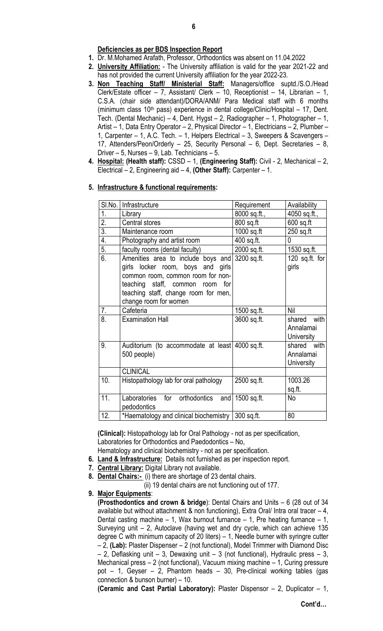# Deficiencies as per BDS Inspection Report

- 1. Dr. M.Mohamed Arafath, Professor, Orthodontics was absent on 11.04.2022
- 2. University Affiliation: The University affiliation is valid for the year 2021-22 and has not provided the current University affiliation for the year 2022-23.
- 3. Non Teaching Staff/ Ministerial Staff: Managers/office suptd./S.O./Head Clerk/Estate officer – 7, Assistant/ Clerk – 10, Receptionist – 14, Librarian – 1, C.S.A. (chair side attendant)/DORA/ANM/ Para Medical staff with 6 months (minimum class  $10<sup>th</sup>$  pass) experience in dental college/Clinic/Hospital – 17, Dent. Tech. (Dental Mechanic) – 4, Dent. Hygst – 2, Radiographer – 1, Photographer – 1, Artist – 1, Data Entry Operator – 2, Physical Director – 1, Electricians – 2, Plumber – 1, Carpenter – 1, A.C. Tech. – 1, Helpers Electrical – 3, Sweepers & Scavengers – 17, Attenders/Peon/Orderly – 25, Security Personal – 6, Dept. Secretaries – 8, Driver – 5, Nurses – 9, Lab. Technicians – 5.
- 4. Hospital: (Health staff): CSSD 1, (Engineering Staff): Civil 2, Mechanical 2, Electrical – 2, Engineering aid – 4, (Other Staff): Carpenter – 1.

# 5. Infrastructure & functional requirements:

|                  | SI.No.   Infrastructure                                                                                                                                                                                                      | Requirement  | Availability                           |
|------------------|------------------------------------------------------------------------------------------------------------------------------------------------------------------------------------------------------------------------------|--------------|----------------------------------------|
| 1.               | Library                                                                                                                                                                                                                      | 8000 sq.ft., | 4050 sq.ft.,                           |
| $\overline{2}$ . | Central stores                                                                                                                                                                                                               | 800 sq.ft    | $600$ sq.ft                            |
| $\overline{3}$ . | Maintenance room                                                                                                                                                                                                             | $1000$ sq.ft | 250 sq.ft                              |
| $\overline{4}$ . | Photography and artist room                                                                                                                                                                                                  | 400 sq.ft.   | 0                                      |
| $\overline{5}$ . | faculty rooms (dental faculty)                                                                                                                                                                                               | 2000 sq.ft.  | 1530 sq.ft.                            |
| $\overline{6}$   | Amenities area to include boys and 3200 sq.ft.<br>girls locker room, boys and girls<br>common room, common room for non-<br>teaching staff, common room for<br>teaching staff, change room for men,<br>change room for women |              | 120 sq.ft. for<br>girls                |
| 7.               | Cafeteria                                                                                                                                                                                                                    | 1500 sq.ft.  | Nil                                    |
| 8.               | <b>Examination Hall</b>                                                                                                                                                                                                      | 3600 sq.ft.  | shared with<br>Annalamai<br>University |
| 9.               | Auditorium (to accommodate at least 4000 sq.ft.)<br>500 people)                                                                                                                                                              |              | shared with<br>Annalamai<br>University |
|                  | <b>CLINICAL</b>                                                                                                                                                                                                              |              |                                        |
| 10.              | Histopathology lab for oral pathology                                                                                                                                                                                        | 2500 sq.ft.  | 1003.26<br>sq.ft.                      |
| 11.              | Laboratories for orthodontics and 1500 sq.ft.<br>pedodontics                                                                                                                                                                 |              | No                                     |
| 12.              | *Haematology and clinical biochemistry   300 sq.ft.                                                                                                                                                                          |              | 80                                     |

(Clinical): Histopathology lab for Oral Pathology - not as per specification, Laboratories for Orthodontics and Paedodontics – No,

- Hematology and clinical biochemistry not as per specification.
- 6. Land & Infrastructure: Details not furnished as per inspection report.
- 7. Central Library: Digital Library not available.
- 8. Dental Chairs:- (i) there are shortage of 23 dental chairs.

(ii) 19 dental chairs are not functioning out of 177.

9. Major Equipments:

(Prosthodontics and crown & bridge): Dental Chairs and Units – 6 (28 out of 34 available but without attachment & non functioning), Extra Oral/ Intra oral tracer  $-4$ , Dental casting machine  $-1$ , Wax burnout furnance  $-1$ , Pre heating furnance  $-1$ , Surveying unit – 2, Autoclave (having wet and dry cycle, which can achieve 135 degree C with minimum capacity of 20 liters) – 1, Needle burner with syringre cutter – 2, (Lab): Plaster Dispenser – 2 (not functional), Model Trimmer with Diamond Disc  $-$  2, Deflasking unit  $-$  3, Dewaxing unit  $-$  3 (not functional), Hydraulic press  $-$  3, Mechanical press – 2 (not functional), Vacuum mixing machine – 1, Curing pressure pot – 1, Geyser – 2, Phantom heads – 30, Pre-clinical working tables (gas connection & bunson burner) – 10.

(Ceramic and Cast Partial Laboratory): Plaster Dispensor – 2, Duplicator – 1,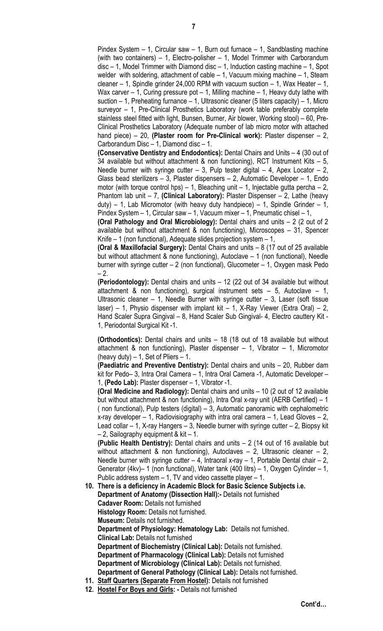Pindex System – 1, Circular saw – 1, Burn out furnace – 1, Sandblasting machine (with two containers) – 1, Electro-polisher – 1, Model Trimmer with Carborandum disc – 1, Model Trimmer with Diamond disc – 1, Induction casting machine – 1, Spot welder with soldering, attachment of cable – 1, Vacuum mixing machine – 1, Steam cleaner – 1, Spindle grinder 24,000 RPM with vacuum suction – 1, Wax Heater – 1, Wax carver  $-1$ , Curing pressure pot  $-1$ , Milling machine  $-1$ , Heavy duty lathe with suction  $-1$ , Preheating furnance  $-1$ , Ultrasonic cleaner (5 liters capacity)  $-1$ , Micro surveyor – 1, Pre-Clinical Prosthetics Laboratory (work table preferably complete stainless steel fitted with light, Bunsen, Burner, Air blower, Working stool) – 60, Pre-Clinical Prosthetics Laboratory (Adequate number of lab micro motor with attached hand piece) – 20, (Plaster room for Pre-Clinical work): Plaster dispenser – 2, Carborandum Disc – 1, Diamond disc – 1.

(Conservative Dentistry and Endodontics): Dental Chairs and Units – 4 (30 out of 34 available but without attachment & non functioning), RCT Instrument Kits – 5, Needle burner with syringe cutter  $-3$ , Pulp tester digital  $-4$ , Apex Locator  $-2$ , Glass bead sterilizers – 3, Plaster dispensers – 2, Automatic Developer – 1, Endo motor (with torque control hps) – 1, Bleaching unit – 1, Injectable gutta percha – 2, Phantom lab unit  $-7$ , (Clinical Laboratory): Plaster Dispenser  $-2$ , Lathe (heavy duty) – 1, Lab Micromotor (with heavy duty handpiece) – 1, Spindle Grinder – 1, Pindex System – 1, Circular saw – 1, Vacuum mixer – 1, Pneumatic chisel – 1,

(Oral Pathology and Oral Microbiology): Dental chairs and units – 2 (2 out of 2 available but without attachment & non functioning), Microscopes – 31, Spencer Knife – 1 (non functional), Adequate slides projection system – 1,

(Oral & Maxillofacial Surgery): Dental Chairs and units – 8 (17 out of 25 available but without attachment & none functioning), Autoclave – 1 (non functional), Needle burner with syringe cutter – 2 (non functional), Glucometer – 1, Oxygen mask Pedo  $-2.$ 

(Periodontology): Dental chairs and units – 12 (22 out of 34 available but without attachment & non functioning), surgical instrument sets – 5, Autoclave – 1, Ultrasonic cleaner  $-1$ , Needle Burner with syringe cutter  $-3$ , Laser (soft tissue laser) – 1, Physio dispenser with implant kit – 1, X-Ray Viewer (Extra Oral) – 2, Hand Scaler Supra Gingival – 8, Hand Scaler Sub Gingival- 4, Electro cauttery Kit - 1, Periodontal Surgical Kit -1.

(Orthodontics): Dental chairs and units – 18 (18 out of 18 available but without attachment & non functioning), Plaster dispenser – 1, Vibrator – 1, Micromotor (heavy duty)  $-1$ , Set of Pliers  $-1$ .

(Paediatric and Preventive Dentistry): Dental chairs and units – 20, Rubber dam kit for Pedo– 3, Intra Oral Camera – 1, Intra Oral Camera -1, Automatic Developer – 1, (Pedo Lab): Plaster dispenser – 1, Vibrator -1.

(Oral Medicine and Radiology): Dental chairs and units – 10 (2 out of 12 available but without attachment & non functioning), Intra Oral x-ray unit (AERB Certified) – 1 ( non functional), Pulp testers (digital) – 3, Automatic panoramic with cephalometric x-ray developer – 1, Radiovisiography with intra oral camera – 1, Lead Gloves – 2, Lead collar – 1, X-ray Hangers – 3, Needle burner with syringe cutter – 2, Biopsy kit – 2, Sailography equipment & kit – 1.

(Public Health Dentistry): Dental chairs and units – 2 (14 out of 16 available but without attachment & non functioning), Autoclaves – 2, Ultrasonic cleaner – 2, Needle burner with syringe cutter  $-4$ , Intraoral x-ray  $-1$ , Portable Dental chair  $-2$ , Generator (4kv)– 1 (non functional), Water tank (400 litrs) – 1, Oxygen Cylinder – 1, Public address system – 1, TV and video cassette player – 1.

10. There is a deficiency in Academic Block for Basic Science Subjects i.e.

Department of Anatomy (Dissection Hall):- Details not furnished

Cadaver Room: Details not furnished

Histology Room: Details not furnished.

Museum: Details not furnished.

Department of Physiology: Hematology Lab: Details not furnished.

Clinical Lab: Details not furnished

Department of Biochemistry (Clinical Lab): Details not furnished. Department of Pharmacology (Clinical Lab): Details not furnished Department of Microbiology (Clinical Lab): Details not furnished.

Department of General Pathology (Clinical Lab): Details not furnished.

- 11. Staff Quarters (Separate From Hostel): Details not furnished
- 12. Hostel For Boys and Girls: Details not furnished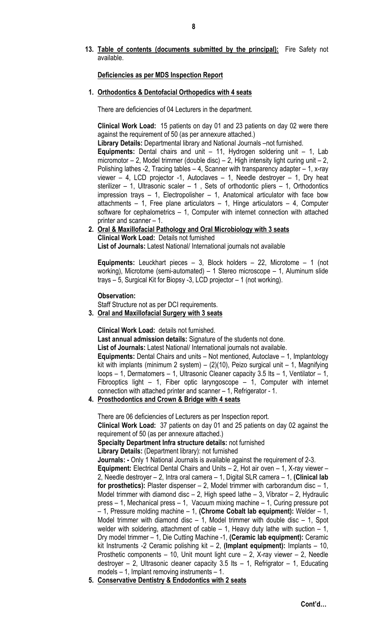## 13. Table of contents (documents submitted by the principal): Fire Safety not available.

## Deficiencies as per MDS Inspection Report

#### 1. Orthodontics & Dentofacial Orthopedics with 4 seats

There are deficiencies of 04 Lecturers in the department.

Clinical Work Load: 15 patients on day 01 and 23 patients on day 02 were there against the requirement of 50 (as per annexure attached.)

Library Details: Departmental library and National Journals –not furnished.

Equipments: Dental chairs and unit – 11, Hydrogen soldering unit – 1, Lab micromotor – 2, Model trimmer (double disc) – 2, High intensity light curing unit – 2, Polishing lathes -2, Tracing tables – 4, Scanner with transparency adapter – 1, x-ray viewer  $-$  4, LCD projector -1, Autoclaves  $-$  1, Needle destroyer  $-$  1, Dry heat sterilizer – 1, Ultrasonic scaler – 1, Sets of orthodontic pliers – 1, Orthodontics impression trays  $-1$ , Electropolisher  $-1$ , Anatomical articulator with face bow attachments – 1, Free plane articulators – 1, Hinge articulators – 4, Computer software for cephalometrics – 1, Computer with internet connection with attached printer and scanner – 1.

2. Oral & Maxillofacial Pathology and Oral Microbiology with 3 seats Clinical Work Load: Details not furnished List of Journals: Latest National/ International journals not available

Equipments: Leuckhart pieces – 3, Block holders – 22, Microtome – 1 (not working), Microtome (semi-automated) – 1 Stereo microscope – 1, Aluminum slide trays – 5, Surgical Kit for Biopsy -3, LCD projector – 1 (not working).

Observation:

Staff Structure not as per DCI requirements.

3. Oral and Maxillofacial Surgery with 3 seats

Clinical Work Load: details not furnished.

Last annual admission details: Signature of the students not done.

List of Journals: Latest National/ International journals not available.

Equipments: Dental Chairs and units – Not mentioned, Autoclave – 1, Implantology kit with implants (minimum 2 system) –  $(2)(10)$ , Peizo surgical unit – 1, Magnifying loops – 1, Dermatomers – 1, Ultrasonic Cleaner capacity 3.5 lts – 1, Ventilator – 1, Fibrooptics light – 1, Fiber optic laryngoscope – 1, Computer with internet connection with attached printer and scanner – 1, Refrigerator - 1.

## 4. Prosthodontics and Crown & Bridge with 4 seats

There are 06 deficiencies of Lecturers as per Inspection report.

Clinical Work Load: 37 patients on day 01 and 25 patients on day 02 against the requirement of 50 (as per annexure attached.)

Specialty Department Infra structure details: not furnished

Library Details: (Department library): not furnished

Journals: - Only 1 National Journals is available against the requirement of 2-3.

Equipment: Electrical Dental Chairs and Units – 2, Hot air oven – 1, X-ray viewer – 2, Needle destroyer – 2, Intra oral camera – 1, Digital SLR camera – 1, (Clinical lab for prosthetics): Plaster dispenser  $-2$ , Model trimmer with carborandum disc  $-1$ , Model trimmer with diamond disc  $-2$ , High speed lathe  $-3$ , Vibrator  $-2$ , Hydraulic press – 1, Mechanical press – 1, Vacuum mixing machine – 1, Curing pressure pot  $-$  1, Pressure molding machine  $-$  1, (Chrome Cobalt lab equipment): Welder  $-$  1, Model trimmer with diamond disc  $-1$ , Model trimmer with double disc  $-1$ , Spot welder with soldering, attachment of cable  $-1$ , Heavy duty lathe with suction  $-1$ , Dry model trimmer – 1, Die Cutting Machine -1, (Ceramic lab equipment): Ceramic kit Instruments -2 Ceramic polishing kit – 2, (Implant equipment): Implants – 10, Prosthetic components – 10, Unit mount light cure – 2, X-ray viewer – 2, Needle destroyer - 2, Ultrasonic cleaner capacity  $3.5$  lts - 1, Refrigrator - 1, Educating models – 1, Implant removing instruments – 1.

5. Conservative Dentistry & Endodontics with 2 seats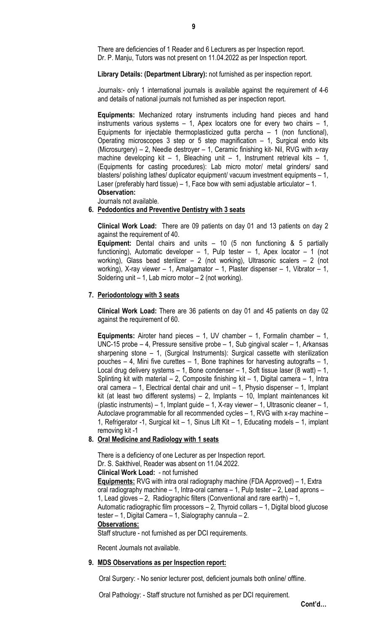There are deficiencies of 1 Reader and 6 Lecturers as per Inspection report. Dr. P. Manju, Tutors was not present on 11.04.2022 as per Inspection report.

Library Details: (Department Library): not furnished as per inspection report.

Journals:- only 1 international journals is available against the requirement of 4-6 and details of national journals not furnished as per inspection report.

Equipments: Mechanized rotary instruments including hand pieces and hand instruments various systems – 1, Apex locators one for every two chairs – 1, Equipments for injectable thermoplasticized gutta percha  $-1$  (non functional), Operating microscopes 3 step or 5 step magnification – 1, Surgical endo kits (Microsurgery) – 2, Needle destroyer – 1, Ceramic finishing kit- Nil, RVG with x-ray machine developing kit – 1, Bleaching unit – 1, Instrument retrieval kits – 1, (Equipments for casting procedures): Lab micro motor/ metal grinders/ sand blasters/ polishing lathes/ duplicator equipment/ vacuum investment equipments – 1, Laser (preferably hard tissue) – 1, Face bow with semi adjustable articulator – 1. Observation:

Journals not available.

#### 6. Pedodontics and Preventive Dentistry with 3 seats

Clinical Work Load: There are 09 patients on day 01 and 13 patients on day 2 against the requirement of 40.

Equipment: Dental chairs and units – 10 (5 non functioning & 5 partially functioning), Automatic developer  $-1$ , Pulp tester  $-1$ , Apex locator  $-1$  (not working), Glass bead sterilizer – 2 (not working), Ultrasonic scalers – 2 (not working), X-ray viewer – 1, Amalgamator – 1, Plaster dispenser – 1, Vibrator – 1, Soldering unit  $-1$ , Lab micro motor  $-2$  (not working).

# 7. Periodontology with 3 seats

Clinical Work Load: There are 36 patients on day 01 and 45 patients on day 02 against the requirement of 60.

**Equipments:** Airoter hand pieces  $-1$ , UV chamber  $-1$ , Formalin chamber  $-1$ , UNC-15 probe – 4, Pressure sensitive probe – 1, Sub gingival scaler – 1, Arkansas sharpening stone – 1, (Surgical Instruments): Surgical cassette with sterilization pouches  $-4$ , Mini five curettes  $-1$ , Bone traphines for harvesting autografts  $-1$ . Local drug delivery systems – 1, Bone condenser – 1, Soft tissue laser (8 watt) – 1, Splinting kit with material  $-2$ , Composite finishing kit  $-1$ , Digital camera  $-1$ , Intra oral camera – 1, Electrical dental chair and unit – 1, Physio dispenser – 1, Implant kit (at least two different systems) – 2, Implants – 10, Implant maintenances kit (plastic instruments) – 1, Implant guide – 1, X-ray viewer – 1, Ultrasonic cleaner – 1, Autoclave programmable for all recommended cycles – 1, RVG with x-ray machine – 1, Refrigerator -1, Surgical kit – 1, Sinus Lift Kit – 1, Educating models – 1, implant removing kit -1

# 8. Oral Medicine and Radiology with 1 seats

There is a deficiency of one Lecturer as per Inspection report. Dr. S. Sakthivel, Reader was absent on 11.04.2022. Clinical Work Load: - not furnished Equipments: RVG with intra oral radiography machine (FDA Approved) – 1, Extra oral radiography machine – 1, Intra-oral camera – 1, Pulp tester – 2, Lead aprons – 1, Lead gloves – 2, Radiographic filters (Conventional and rare earth) – 1, Automatic radiographic film processors – 2, Thyroid collars – 1, Digital blood glucose tester – 1, Digital Camera – 1, Sialography cannula – 2. Observations:

Staff structure - not furnished as per DCI requirements.

Recent Journals not available.

#### 9. MDS Observations as per Inspection report:

Oral Surgery: - No senior lecturer post, deficient journals both online/ offline.

Oral Pathology: - Staff structure not furnished as per DCI requirement.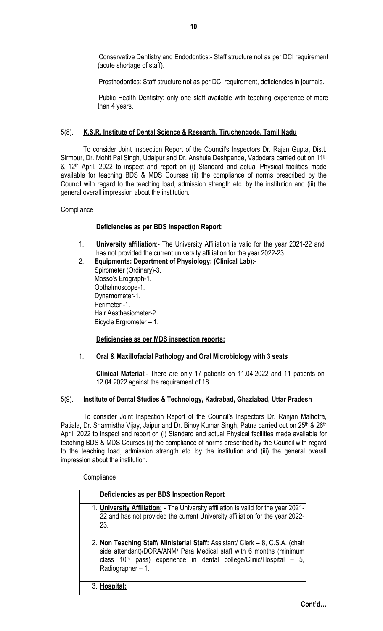Conservative Dentistry and Endodontics:- Staff structure not as per DCI requirement (acute shortage of staff).

Prosthodontics: Staff structure not as per DCI requirement, deficiencies in journals.

Public Health Dentistry: only one staff available with teaching experience of more than 4 years.

## 5(8). K.S.R. Institute of Dental Science & Research, Tiruchengode, Tamil Nadu

To consider Joint Inspection Report of the Council's Inspectors Dr. Rajan Gupta, Distt. Sirmour, Dr. Mohit Pal Singh, Udaipur and Dr. Anshula Deshpande, Vadodara carried out on 11<sup>th</sup> & 12<sup>th</sup> April, 2022 to inspect and report on (i) Standard and actual Physical facilities made available for teaching BDS & MDS Courses (ii) the compliance of norms prescribed by the Council with regard to the teaching load, admission strength etc. by the institution and (iii) the general overall impression about the institution.

**Compliance** 

## Deficiencies as per BDS Inspection Report:

- 1. University affiliation:- The University Affiliation is valid for the year 2021-22 and has not provided the current university affiliation for the year 2022-23.
- 2. Equipments: Department of Physiology: (Clinical Lab):- Spirometer (Ordinary)-3. Mosso's Erograph-1. Opthalmoscope-1. Dynamometer-1. Perimeter -1. Hair Aesthesiometer-2. Bicycle Ergrometer – 1.

## Deficiencies as per MDS inspection reports:

1. Oral & Maxillofacial Pathology and Oral Microbiology with 3 seats

Clinical Material:- There are only 17 patients on 11.04.2022 and 11 patients on 12.04.2022 against the requirement of 18.

## 5(9). Institute of Dental Studies & Technology, Kadrabad, Ghaziabad, Uttar Pradesh

To consider Joint Inspection Report of the Council's Inspectors Dr. Ranjan Malhotra, Patiala, Dr. Sharmistha Vijay, Jaipur and Dr. Binoy Kumar Singh, Patna carried out on 25<sup>th</sup> & 26<sup>th</sup> April, 2022 to inspect and report on (i) Standard and actual Physical facilities made available for teaching BDS & MDS Courses (ii) the compliance of norms prescribed by the Council with regard to the teaching load, admission strength etc. by the institution and (iii) the general overall impression about the institution.

**Compliance** 

| Deficiencies as per BDS Inspection Report                                                                                                                                                                                                                   |
|-------------------------------------------------------------------------------------------------------------------------------------------------------------------------------------------------------------------------------------------------------------|
| 1. University Affiliation: - The University affiliation is valid for the year 2021-<br>22 and has not provided the current University affiliation for the year 2022-<br>23.                                                                                 |
| 2. Non Teaching Staff/ Ministerial Staff: Assistant/ Clerk - 8, C.S.A. (chair<br>side attendant)/DORA/ANM/ Para Medical staff with 6 months (minimum<br>class 10 <sup>th</sup> pass) experience in dental college/Clinic/Hospital - 5,<br>Radiographer - 1. |
| Hospital:                                                                                                                                                                                                                                                   |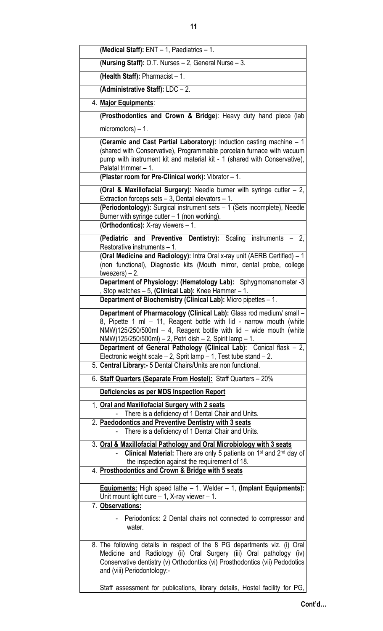| (Medical Staff): ENT - 1, Paediatrics - 1.                                                                                                                                                                                                                                                                                                                                                                                         |  |  |
|------------------------------------------------------------------------------------------------------------------------------------------------------------------------------------------------------------------------------------------------------------------------------------------------------------------------------------------------------------------------------------------------------------------------------------|--|--|
| (Nursing Staff): O.T. Nurses - 2, General Nurse - 3.                                                                                                                                                                                                                                                                                                                                                                               |  |  |
| (Health Staff): Pharmacist $-1$ .                                                                                                                                                                                                                                                                                                                                                                                                  |  |  |
| (Administrative Staff): LDC - 2.                                                                                                                                                                                                                                                                                                                                                                                                   |  |  |
| 4. Major Equipments:                                                                                                                                                                                                                                                                                                                                                                                                               |  |  |
| (Prosthodontics and Crown & Bridge): Heavy duty hand piece (lab                                                                                                                                                                                                                                                                                                                                                                    |  |  |
| micromotors) $-1$ .                                                                                                                                                                                                                                                                                                                                                                                                                |  |  |
| (Ceramic and Cast Partial Laboratory): Induction casting machine - 1<br>(shared with Conservative), Programmable porcelain furnace with vacuum<br>pump with instrument kit and material kit - 1 (shared with Conservative),<br>Palatal trimmer - 1.                                                                                                                                                                                |  |  |
| (Plaster room for Pre-Clinical work): Vibrator - 1.                                                                                                                                                                                                                                                                                                                                                                                |  |  |
| (Oral & Maxillofacial Surgery): Needle burner with syringe cutter $-2$ ,<br>Extraction forceps sets $-3$ , Dental elevators $-1$ .                                                                                                                                                                                                                                                                                                 |  |  |
| (Periodontology): Surgical instrument sets - 1 (Sets incomplete), Needle<br>Burner with syringe cutter $-1$ (non working).<br>(Orthodontics): X-ray viewers - 1.                                                                                                                                                                                                                                                                   |  |  |
| (Pediatric and Preventive Dentistry): Scaling instruments - 2,<br>Restorative instruments - 1.                                                                                                                                                                                                                                                                                                                                     |  |  |
| (Oral Medicine and Radiology): Intra Oral x-ray unit (AERB Certified) - 1<br>(non functional), Diagnostic kits (Mouth mirror, dental probe, college<br>tweezers) $-2$ .                                                                                                                                                                                                                                                            |  |  |
| Department of Physiology: (Hematology Lab): Sphygmomanometer -3<br>Stop watches - 5, (Clinical Lab): Knee Hammer - 1.<br>Department of Biochemistry (Clinical Lab): Micro pipettes - 1.                                                                                                                                                                                                                                            |  |  |
|                                                                                                                                                                                                                                                                                                                                                                                                                                    |  |  |
| Department of Pharmacology (Clinical Lab): Glass rod medium/ small -<br>8. Pipette 1 ml - 11. Reagent bottle with lid - narrow mouth (white<br>NMW)125/250/500ml $-$ 4, Reagent bottle with lid $-$ wide mouth (white<br>NMW)125/250/500ml) - 2, Petri dish - 2, Spirit lamp - 1.<br>Department of General Pathology (Clinical Lab): Conical flask - 2,<br>Electronic weight scale $-2$ , Sprit lamp $-1$ , Test tube stand $-2$ . |  |  |
| 5. Central Library:- 5 Dental Chairs/Units are non functional.                                                                                                                                                                                                                                                                                                                                                                     |  |  |
| 6. Staff Quarters (Separate From Hostel): Staff Quarters - 20%                                                                                                                                                                                                                                                                                                                                                                     |  |  |
| Deficiencies as per MDS Inspection Report                                                                                                                                                                                                                                                                                                                                                                                          |  |  |
| 1. Oral and Maxillofacial Surgery with 2 seats<br>There is a deficiency of 1 Dental Chair and Units.                                                                                                                                                                                                                                                                                                                               |  |  |
| 2. Paedodontics and Preventive Dentistry with 3 seats<br>There is a deficiency of 1 Dental Chair and Units.                                                                                                                                                                                                                                                                                                                        |  |  |
| 3. Oral & Maxillofacial Pathology and Oral Microbiology with 3 seats<br>Clinical Material: There are only 5 patients on 1 <sup>st</sup> and 2 <sup>nd</sup> day of<br>the inspection against the requirement of 18.                                                                                                                                                                                                                |  |  |
| 4. Prosthodontics and Crown & Bridge with 5 seats                                                                                                                                                                                                                                                                                                                                                                                  |  |  |
| <b>Equipments:</b> High speed lathe - 1, Welder - 1, (Implant Equipments):<br>Unit mount light cure $-1$ , X-ray viewer $-1$ .<br>7. Observations:                                                                                                                                                                                                                                                                                 |  |  |
| Periodontics: 2 Dental chairs not connected to compressor and<br>water.                                                                                                                                                                                                                                                                                                                                                            |  |  |
| 8. The following details in respect of the 8 PG departments viz. (i) Oral<br>Medicine and Radiology (ii) Oral Surgery (iii) Oral pathology (iv)<br>Conservative dentistry (v) Orthodontics (vi) Prosthodontics (vii) Pedodotics<br>and (viii) Periodontology:-                                                                                                                                                                     |  |  |
| Staff assessment for publications, library details, Hostel facility for PG,                                                                                                                                                                                                                                                                                                                                                        |  |  |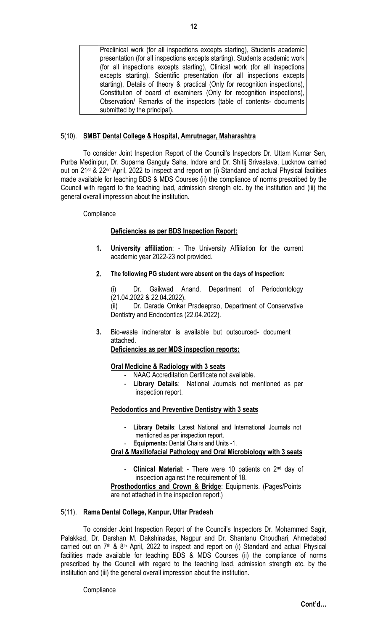Preclinical work (for all inspections excepts starting), Students academic presentation (for all inspections excepts starting), Students academic work (for all inspections excepts starting), Clinical work (for all inspections excepts starting), Scientific presentation (for all inspections excepts starting), Details of theory & practical (Only for recognition inspections), Constitution of board of examiners (Only for recognition inspections), Observation/ Remarks of the inspectors (table of contents- documents submitted by the principal).

## 5(10). SMBT Dental College & Hospital, Amrutnagar, Maharashtra

To consider Joint Inspection Report of the Council's Inspectors Dr. Uttam Kumar Sen, Purba Medinipur, Dr. Suparna Ganguly Saha, Indore and Dr. Shitij Srivastava, Lucknow carried out on 21st & 22nd April, 2022 to inspect and report on (i) Standard and actual Physical facilities made available for teaching BDS & MDS Courses (ii) the compliance of norms prescribed by the Council with regard to the teaching load, admission strength etc. by the institution and (iii) the general overall impression about the institution.

#### **Compliance**

## Deficiencies as per BDS Inspection Report:

- 1. University affiliation: The University Affiliation for the current academic year 2022-23 not provided.
- 2. The following PG student were absent on the days of Inspection:

Dr. Gaikwad Anand, Department of Periodontology (21.04.2022 & 22.04.2022).

(ii) Dr. Darade Omkar Pradeeprao, Department of Conservative Dentistry and Endodontics (22.04.2022).

3. Bio-waste incinerator is available but outsourced- document attached.

Deficiencies as per MDS inspection reports:

## Oral Medicine & Radiology with 3 seats

- NAAC Accreditation Certificate not available.
- Library Details: National Journals not mentioned as per inspection report.

## Pedodontics and Preventive Dentistry with 3 seats

- Library Details: Latest National and International Journals not mentioned as per inspection report.
	- **Equipments: Dental Chairs and Units -1.**

# Oral & Maxillofacial Pathology and Oral Microbiology with 3 seats

**Clinical Material:** - There were 10 patients on  $2^{nd}$  day of inspection against the requirement of 18.

Prosthodontics and Crown & Bridge: Equipments. (Pages/Points are not attached in the inspection report.)

## 5(11). Rama Dental College, Kanpur, Uttar Pradesh

To consider Joint Inspection Report of the Council's Inspectors Dr. Mohammed Sagir, Palakkad, Dr. Darshan M. Dakshinadas, Nagpur and Dr. Shantanu Choudhari, Ahmedabad carried out on  $7<sup>th</sup>$  &  $8<sup>th</sup>$  April, 2022 to inspect and report on (i) Standard and actual Physical facilities made available for teaching BDS & MDS Courses (ii) the compliance of norms prescribed by the Council with regard to the teaching load, admission strength etc. by the institution and (iii) the general overall impression about the institution.

**Compliance**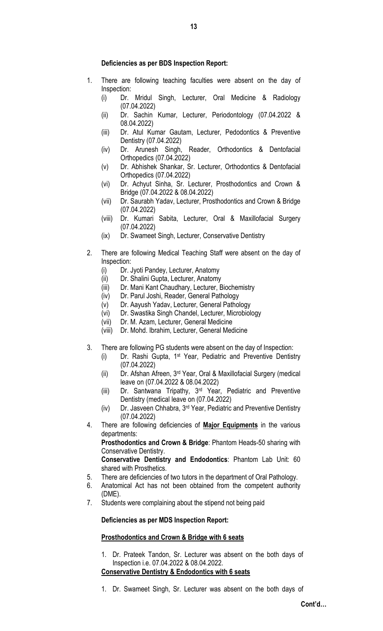## Deficiencies as per BDS Inspection Report:

- 1. There are following teaching faculties were absent on the day of Inspection:
	- (i) Dr. Mridul Singh, Lecturer, Oral Medicine & Radiology (07.04.2022)
	- (ii) Dr. Sachin Kumar, Lecturer, Periodontology (07.04.2022 & 08.04.2022)
	- (iii) Dr. Atul Kumar Gautam, Lecturer, Pedodontics & Preventive Dentistry (07.04.2022)
	- (iv) Dr. Arunesh Singh, Reader, Orthodontics & Dentofacial Orthopedics (07.04.2022)
	- (v) Dr. Abhishek Shankar, Sr. Lecturer, Orthodontics & Dentofacial Orthopedics (07.04.2022)
	- (vi) Dr. Achyut Sinha, Sr. Lecturer, Prosthodontics and Crown & Bridge (07.04.2022 & 08.04.2022)
	- (vii) Dr. Saurabh Yadav, Lecturer, Prosthodontics and Crown & Bridge (07.04.2022)
	- (viii) Dr. Kumari Sabita, Lecturer, Oral & Maxillofacial Surgery (07.04.2022)
	- (ix) Dr. Swameet Singh, Lecturer, Conservative Dentistry
- 2. There are following Medical Teaching Staff were absent on the day of Inspection:
	- (i) Dr. Jyoti Pandey, Lecturer, Anatomy
	- (ii) Dr. Shalini Gupta, Lecturer, Anatomy
	- (iii) Dr. Mani Kant Chaudhary, Lecturer, Biochemistry
	- (iv) Dr. Parul Joshi, Reader, General Pathology
	- (v) Dr. Aayush Yadav, Lecturer, General Pathology
	- (vi) Dr. Swastika Singh Chandel, Lecturer, Microbiology
	- (vii) Dr. M. Azam, Lecturer, General Medicine
	- (viii) Dr. Mohd. Ibrahim, Lecturer, General Medicine
- 3. There are following PG students were absent on the day of Inspection:
	- (i) Dr. Rashi Gupta, 1st Year, Pediatric and Preventive Dentistry (07.04.2022)
	- (ii) Dr. Afshan Afreen, 3rd Year, Oral & Maxillofacial Surgery (medical leave on (07.04.2022 & 08.04.2022)
	- (iii) Dr. Santwana Tripathy, 3rd Year, Pediatric and Preventive Dentistry (medical leave on (07.04.2022)
	- (iv) Dr. Jasveen Chhabra, 3rd Year, Pediatric and Preventive Dentistry (07.04.2022)
- 4. There are following deficiencies of Major Equipments in the various departments: Prosthodontics and Crown & Bridge: Phantom Heads-50 sharing with Conservative Dentistry.

Conservative Dentistry and Endodontics: Phantom Lab Unit: 60 shared with Prosthetics.

- 5. There are deficiencies of two tutors in the department of Oral Pathology.
- 6. Anatomical Act has not been obtained from the competent authority (DME).
- 7. Students were complaining about the stipend not being paid

#### Deficiencies as per MDS Inspection Report:

## Prosthodontics and Crown & Bridge with 6 seats

- 1. Dr. Prateek Tandon, Sr. Lecturer was absent on the both days of Inspection i.e. 07.04.2022 & 08.04.2022. Conservative Dentistry & Endodontics with 6 seats
- 1. Dr. Swameet Singh, Sr. Lecturer was absent on the both days of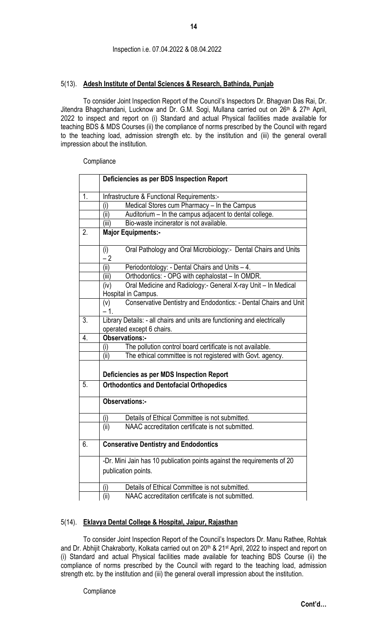# Inspection i.e. 07.04.2022 & 08.04.2022

## 5(13). Adesh Institute of Dental Sciences & Research, Bathinda, Punjab

To consider Joint Inspection Report of the Council's Inspectors Dr. Bhagvan Das Rai, Dr. Jitendra Bhagchandani, Lucknow and Dr. G.M. Sogi, Mullana carried out on 26<sup>th</sup> & 27<sup>th</sup> April, 2022 to inspect and report on (i) Standard and actual Physical facilities made available for teaching BDS & MDS Courses (ii) the compliance of norms prescribed by the Council with regard to the teaching load, admission strength etc. by the institution and (iii) the general overall impression about the institution.

#### **Compliance**

|                  | Deficiencies as per BDS Inspection Report                                                      |  |  |
|------------------|------------------------------------------------------------------------------------------------|--|--|
| 1.               | Infrastructure & Functional Requirements:-                                                     |  |  |
|                  | Medical Stores cum Pharmacy - In the Campus<br>(i)                                             |  |  |
|                  | Auditorium - In the campus adjacent to dental college.<br>(ii)                                 |  |  |
|                  | Bio-waste incinerator is not available.<br>(iii)                                               |  |  |
| $\overline{2}$ . | <b>Major Equipments:-</b>                                                                      |  |  |
|                  | Oral Pathology and Oral Microbiology:- Dental Chairs and Units<br>(i)<br>$-2$                  |  |  |
|                  | (ii)<br>Periodontology: - Dental Chairs and Units - 4.                                         |  |  |
|                  | Orthodontics: - OPG with cephalostat - In OMDR.<br>(iii)                                       |  |  |
|                  | Oral Medicine and Radiology:- General X-ray Unit - In Medical<br>(iv)                          |  |  |
|                  | Hospital in Campus.                                                                            |  |  |
|                  | Conservative Dentistry and Endodontics: - Dental Chairs and Unit<br>(v)<br>$-1.$               |  |  |
| $\overline{3}$ . | Library Details: - all chairs and units are functioning and electrically                       |  |  |
|                  | operated except 6 chairs.                                                                      |  |  |
| 4.               | Observations:-                                                                                 |  |  |
|                  | The pollution control board certificate is not available.<br>(i)                               |  |  |
|                  | (ii)<br>The ethical committee is not registered with Govt. agency.                             |  |  |
|                  | Deficiencies as per MDS Inspection Report                                                      |  |  |
| 5.               | <b>Orthodontics and Dentofacial Orthopedics</b>                                                |  |  |
|                  | <b>Observations:-</b>                                                                          |  |  |
|                  | Details of Ethical Committee is not submitted.<br>(i)                                          |  |  |
|                  | (iii)<br>NAAC accreditation certificate is not submitted.                                      |  |  |
| 6.               | <b>Conserative Dentistry and Endodontics</b>                                                   |  |  |
|                  | -Dr. Mini Jain has 10 publication points against the requirements of 20<br>publication points. |  |  |
|                  | (i)<br>Details of Ethical Committee is not submitted.                                          |  |  |
|                  | (ii)<br>NAAC accreditation certificate is not submitted.                                       |  |  |

## 5(14). Eklavya Dental College & Hospital, Jaipur, Rajasthan

To consider Joint Inspection Report of the Council's Inspectors Dr. Manu Rathee, Rohtak and Dr. Abhijit Chakraborty, Kolkata carried out on 20<sup>th</sup> & 21<sup>st</sup> April, 2022 to inspect and report on (i) Standard and actual Physical facilities made available for teaching BDS Course (ii) the compliance of norms prescribed by the Council with regard to the teaching load, admission strength etc. by the institution and (iii) the general overall impression about the institution.

**Compliance**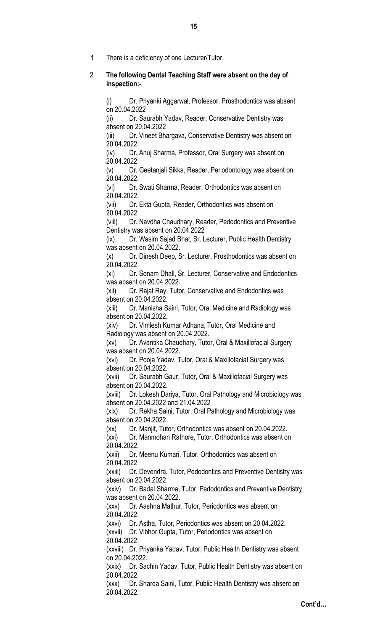1 There is a deficiency of one Lecturer/Tutor.

## 2. The following Dental Teaching Staff were absent on the day of inspection:-

(i) Dr. Priyanki Aggarwal, Professor, Prosthodontics was absent on 20.04.2022

(ii) Dr. Saurabh Yadav, Reader, Conservative Dentistry was absent on 20.04.2022

(iii) Dr. Vineet Bhargava, Conservative Dentistry was absent on 20.04.2022.

(iv) Dr. Anuj Sharma, Professor, Oral Surgery was absent on 20.04.2022.

(v) Dr. Geetanjali Sikka, Reader, Periodontology was absent on 20.04.2022.

(vi) Dr. Swati Sharma, Reader, Orthodontics was absent on 20.04.2022.

(vii) Dr. Ekta Gupta, Reader, Orthodontics was absent on 20.04.2022

(viii) Dr. Navdha Chaudhary, Reader, Pedodontics and Preventive Dentistry was absent on 20.04.2022

(ix) Dr. Wasim Sajad Bhat, Sr. Lecturer, Public Health Dentistry was absent on 20.04.2022.

(x) Dr. Dinesh Deep, Sr. Lecturer, Prosthodontics was absent on 20.04.2022.

(xi) Dr. Sonam Dhall, Sr. Lecturer, Conservative and Endodontics was absent on 20.04.2022.

(xii) Dr. Rajat Ray, Tutor, Conservative and Endodontics was absent on 20.04.2022.

(xiii) Dr. Manisha Saini, Tutor, Oral Medicine and Radiology was absent on 20.04.2022.

(xiv) Dr. Vimlesh Kumar Adhana, Tutor, Oral Medicine and Radiology was absent on 20.04.2022.

(xv) Dr. Avantika Chaudhary, Tutor, Oral & Maxillofacial Surgery was absent on 20.04.2022.

(xvi) Dr. Pooja Yadav, Tutor, Oral & Maxillofacial Surgery was absent on 20.04.2022.

(xvii) Dr. Saurabh Gaur, Tutor, Oral & Maxillofacial Surgery was absent on 20.04.2022.

(xviii) Dr. Lokesh Dariya, Tutor, Oral Pathology and Microbiology was absent on 20.04.2022 and 21.04.2022

(xix) Dr. Rekha Saini, Tutor, Oral Pathology and Microbiology was absent on 20.04.2022.

(xx) Dr. Manjit, Tutor, Orthodontics was absent on 20.04.2022.

(xxi) Dr. Manmohan Rathore, Tutor, Orthodontics was absent on 20.04.2022.

(xxii) Dr. Meenu Kumari, Tutor, Orthodontics was absent on 20.04.2022.

(xxiii) Dr. Devendra, Tutor, Pedodontics and Preventive Dentistry was absent on 20.04.2022.

(xxiv) Dr. Badal Sharma, Tutor, Pedodontics and Preventive Dentistry was absent on 20.04.2022.

(xxv) Dr. Aashna Mathur, Tutor, Periodontics was absent on 20.04.2022.

(xxvi) Dr. Astha, Tutor, Periodontics was absent on 20.04.2022.

(xxvii) Dr. Vibhor Gupta, Tutor, Periodontics was absent on 20.04.2022.

(xxviii) Dr. Priyanka Yadav, Tutor, Public Health Dentistry was absent on 20.04.2022.

(xxix) Dr. Sachin Yadav, Tutor, Public Health Dentistry was absent on 20.04.2022.

(xxx) Dr. Sharda Saini, Tutor, Public Health Dentistry was absent on 20.04.2022.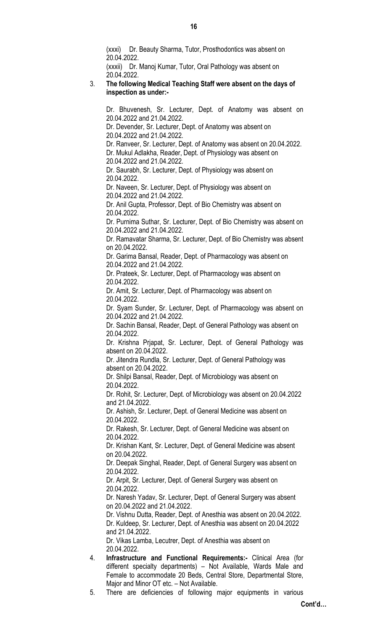(xxxi) Dr. Beauty Sharma, Tutor, Prosthodontics was absent on 20.04.2022.

(xxxii) Dr. Manoj Kumar, Tutor, Oral Pathology was absent on 20.04.2022.

#### 3. The following Medical Teaching Staff were absent on the days of inspection as under:-

Dr. Bhuvenesh, Sr. Lecturer, Dept. of Anatomy was absent on 20.04.2022 and 21.04.2022.

Dr. Devender, Sr. Lecturer, Dept. of Anatomy was absent on 20.04.2022 and 21.04.2022.

Dr. Ranveer, Sr. Lecturer, Dept. of Anatomy was absent on 20.04.2022. Dr. Mukul Adlakha, Reader, Dept. of Physiology was absent on

20.04.2022 and 21.04.2022.

Dr. Saurabh, Sr. Lecturer, Dept. of Physiology was absent on 20.04.2022.

Dr. Naveen, Sr. Lecturer, Dept. of Physiology was absent on 20.04.2022 and 21.04.2022.

Dr. Anil Gupta, Professor, Dept. of Bio Chemistry was absent on 20.04.2022.

Dr. Purnima Suthar, Sr. Lecturer, Dept. of Bio Chemistry was absent on 20.04.2022 and 21.04.2022.

Dr. Ramavatar Sharma, Sr. Lecturer, Dept. of Bio Chemistry was absent on 20.04.2022.

Dr. Garima Bansal, Reader, Dept. of Pharmacology was absent on 20.04.2022 and 21.04.2022.

Dr. Prateek, Sr. Lecturer, Dept. of Pharmacology was absent on 20.04.2022.

Dr. Amit, Sr. Lecturer, Dept. of Pharmacology was absent on 20.04.2022.

Dr. Syam Sunder, Sr. Lecturer, Dept. of Pharmacology was absent on 20.04.2022 and 21.04.2022.

Dr. Sachin Bansal, Reader, Dept. of General Pathology was absent on 20.04.2022.

Dr. Krishna Prjapat, Sr. Lecturer, Dept. of General Pathology was absent on 20.04.2022.

Dr. Jitendra Rundla, Sr. Lecturer, Dept. of General Pathology was absent on 20.04.2022.

Dr. Shilpi Bansal, Reader, Dept. of Microbiology was absent on 20.04.2022.

Dr. Rohit, Sr. Lecturer, Dept. of Microbiology was absent on 20.04.2022 and 21.04.2022.

Dr. Ashish, Sr. Lecturer, Dept. of General Medicine was absent on 20.04.2022.

Dr. Rakesh, Sr. Lecturer, Dept. of General Medicine was absent on 20.04.2022.

Dr. Krishan Kant, Sr. Lecturer, Dept. of General Medicine was absent on 20.04.2022.

Dr. Deepak Singhal, Reader, Dept. of General Surgery was absent on 20.04.2022.

Dr. Arpit, Sr. Lecturer, Dept. of General Surgery was absent on 20.04.2022.

Dr. Naresh Yadav, Sr. Lecturer, Dept. of General Surgery was absent on 20.04.2022 and 21.04.2022.

Dr. Vishnu Dutta, Reader, Dept. of Anesthia was absent on 20.04.2022. Dr. Kuldeep, Sr. Lecturer, Dept. of Anesthia was absent on 20.04.2022 and 21.04.2022.

Dr. Vikas Lamba, Lecutrer, Dept. of Anesthia was absent on 20.04.2022.

4. Infrastructure and Functional Requirements:- Clinical Area (for different specialty departments) – Not Available, Wards Male and Female to accommodate 20 Beds, Central Store, Departmental Store, Major and Minor OT etc. – Not Available.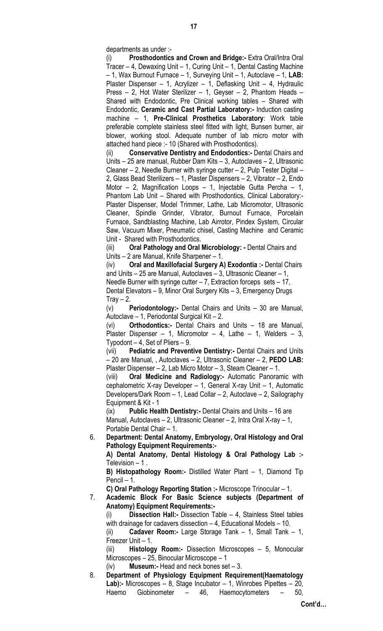departments as under :-

(i) Prosthodontics and Crown and Bridge:- Extra Oral/Intra Oral Tracer – 4, Dewaxing Unit – 1, Curing Unit – 1, Dental Casting Machine  $-$  1, Wax Burnout Furnace  $-$  1, Surveying Unit  $-$  1, Autoclave  $-$  1, LAB: Plaster Dispenser – 1, Acrylizer – 1, Deflasking Unit – 4, Hydraulic Press – 2, Hot Water Sterilizer – 1, Geyser – 2, Phantom Heads – Shared with Endodontic, Pre Clinical working tables – Shared with Endodontic, Ceramic and Cast Partial Laboratory:- Induction casting machine – 1, Pre-Clinical Prosthetics Laboratory: Work table preferable complete stainless steel fitted with light, Bunsen burner, air blower, working stool. Adequate number of lab micro motor with attached hand piece :- 10 (Shared with Prosthodontics).

(ii) Conservative Dentistry and Endodontics:- Dental Chairs and Units – 25 are manual, Rubber Dam Kits – 3, Autoclaves – 2, Ultrasonic Cleaner – 2, Needle Burner with syringe cutter – 2, Pulp Tester Digital – 2, Glass Bead Sterilizers – 1, Plaster Dispensers – 2, Vibrator – 2, Endo Motor – 2, Magnification Loops – 1, Injectable Gutta Percha – 1, Phantom Lab Unit – Shared with Prosthodontics, Clinical Laboratory:- Plaster Dispenser, Model Trimmer, Lathe, Lab Micromotor, Ultrasonic Cleaner, Spindle Grinder, Vibrator, Burnout Furnace, Porcelain Furnace, Sandblasting Machine, Lab Airrotor, Pindex System, Circular Saw, Vacuum Mixer, Pneumatic chisel, Casting Machine and Ceramic Unit - Shared with Prosthodontics.

(iii) Oral Pathology and Oral Microbiology: - Dental Chairs and Units – 2 are Manual, Knife Sharpener – 1.

(iv) Oral and Maxillofacial Surgery A) Exodontia :- Dental Chairs and Units – 25 are Manual, Autoclaves – 3, Ultrasonic Cleaner – 1, Needle Burner with syringe cutter – 7, Extraction forceps sets – 17, Dental Elevators – 9, Minor Oral Surgery Kits – 3, Emergency Drugs Tray  $-2$ .

(v) Periodontology:- Dental Chairs and Units – 30 are Manual, Autoclave – 1, Periodontal Surgical Kit – 2.

(vi) Orthodontics:- Dental Chairs and Units – 18 are Manual, Plaster Dispenser – 1, Micromotor – 4, Lathe – 1, Welders – 3, Typodont – 4, Set of Pliers – 9.

(vii) Pediatric and Preventive Dentistry:- Dental Chairs and Units – 20 are Manual, , Autoclaves – 2, Ultrasonic Cleaner – 2, PEDO LAB: Plaster Dispenser – 2, Lab Micro Motor – 3, Steam Cleaner – 1.

(viii) Oral Medicine and Radiology:- Automatic Panoramic with cephalometric X-ray Developer – 1, General X-ray Unit – 1, Automatic Developers/Dark Room – 1, Lead Collar – 2, Autoclave – 2, Sailography Equipment & Kit - 1

(ix) Public Health Dentistry:- Dental Chairs and Units – 16 are Manual, Autoclaves – 2, Ultrasonic Cleaner – 2, Intra Oral X-ray – 1, Portable Dental Chair – 1.

6. Department: Dental Anatomy, Embryology, Oral Histology and Oral Pathology Equipment Requirements:-

A) Dental Anatomy, Dental Histology & Oral Pathology Lab :-Television  $-1$ .

B) Histopathology Room:- Distilled Water Plant – 1, Diamond Tip Pencil – 1.

C) Oral Pathology Reporting Station :- Microscope Trinocular – 1.

7. Academic Block For Basic Science subjects (Department of Anatomy) Equipment Requirements:-

(i) Dissection Hall:- Dissection Table – 4, Stainless Steel tables with drainage for cadavers dissection  $-4$ , Educational Models  $-10$ .

(ii) Cadaver Room:- Large Storage Tank – 1, Small Tank – 1, Freezer Unit – 1.

(iii) Histology Room:- Dissection Microscopes – 5, Monocular Microscopes – 25, Binocular Microscope – 1

(iv) **Museum:-** Head and neck bones set  $-3$ .

8. Department of Physiology Equipment Requirement(Haematology Lab):- Microscopes – 8, Stage Incubator – 1, Winrobes Pipettes – 20, Haemo Giobinometer – 46, Haemocytometers – 50,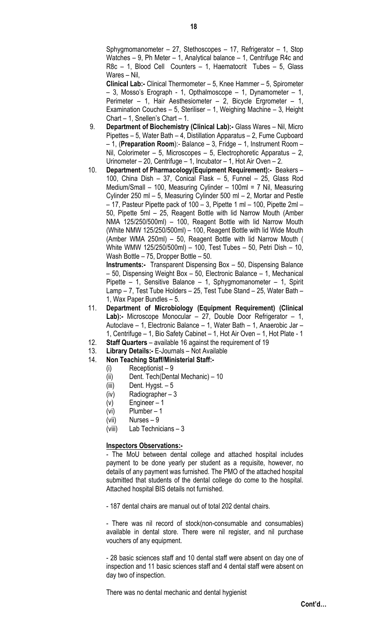Sphygmomanometer – 27, Stethoscopes – 17, Refrigerator – 1, Stop Watches  $-9$ , Ph Meter  $-1$ , Analytical balance  $-1$ , Centrifuge R4c and R8c – 1, Blood Cell Counters – 1, Haematocrit Tubes – 5, Glass Wares – Nil,

Clinical Lab:- Clinical Thermometer – 5, Knee Hammer – 5, Spirometer – 3, Mosso's Erograph - 1, Opthalmoscope – 1, Dynamometer – 1, Perimeter – 1, Hair Aesthesiometer – 2, Bicycle Ergrometer – 1, Examination Couches – 5, Steriliser – 1, Weighing Machine – 3, Height Chart – 1, Snellen's Chart – 1.

- 9. Department of Biochemistry (Clinical Lab):- Glass Wares Nil, Micro Pipettes – 5, Water Bath – 4, Distillation Apparatus – 2, Fume Cupboard  $-1$ , (Preparation Room):- Balance  $-3$ , Fridge  $-1$ , Instrument Room  $-$ Nil, Colorimeter – 5, Microscopes – 5, Electrophoretic Apparatus – 2, Urinometer – 20, Centrifuge – 1, Incubator – 1, Hot Air Oven – 2.
- 10. Department of Pharmacology(Equipment Requirement):- Beakers 100, China Dish – 37, Conical Flask – 5, Funnel – 25, Glass Rod Medium/Small – 100, Measuring Cylinder – 100ml = 7 Nil, Measuring Cylinder 250 ml – 5, Measuring Cylinder 500 ml – 2, Mortar and Pestle – 17, Pasteur Pipette pack of 100 – 3, Pipette 1 ml – 100, Pipette 2ml – 50, Pipette 5ml – 25, Reagent Bottle with lid Narrow Mouth (Amber NMA 125/250/500ml) – 100, Reagent Bottle with lid Narrow Mouth (White NMW 125/250/500ml) – 100, Reagent Bottle with lid Wide Mouth (Amber WMA 250ml) – 50, Reagent Bottle with lid Narrow Mouth ( White WMW 125/250/500ml) – 100, Test Tubes – 50, Petri Dish – 10, Wash Bottle – 75, Dropper Bottle – 50.

Instruments:- Transparent Dispensing Box – 50, Dispensing Balance – 50, Dispensing Weight Box – 50, Electronic Balance – 1, Mechanical Pipette – 1, Sensitive Balance – 1, Sphygmomanometer – 1, Spirit Lamp – 7, Test Tube Holders – 25, Test Tube Stand – 25, Water Bath – 1, Wax Paper Bundles – 5.

- 11. Department of Microbiology (Equipment Requirement) (Clinical Lab):- Microscope Monocular - 27, Double Door Refrigerator - 1, Autoclave – 1, Electronic Balance – 1, Water Bath – 1, Anaerobic Jar – 1, Centrifuge – 1, Bio Safety Cabinet – 1, Hot Air Oven – 1, Hot Plate - 1
- 12. Staff Quarters available 16 against the requirement of 19
- 13. Library Details:- E-Journals Not Available
- 14. Non Teaching Staff/Ministerial Staff:-
	- $(i)$  Receptionist 9
	- (ii) Dent. Tech(Dental Mechanic) 10
	- $(iii)$  Dent. Hygst.  $-5$
	- (iv) Radiographer 3
	- (v) Engineer 1
	- (vi) Plumber 1
	- (vii) Nurses 9
	- (viii) Lab Technicians 3

# Inspectors Observations:-

- The MoU between dental college and attached hospital includes payment to be done yearly per student as a requisite, however, no details of any payment was furnished. The PMO of the attached hospital submitted that students of the dental college do come to the hospital. Attached hospital BIS details not furnished.

- 187 dental chairs are manual out of total 202 dental chairs.

- There was nil record of stock(non-consumable and consumables) available in dental store. There were nil register, and nil purchase vouchers of any equipment.

- 28 basic sciences staff and 10 dental staff were absent on day one of inspection and 11 basic sciences staff and 4 dental staff were absent on day two of inspection.

There was no dental mechanic and dental hygienist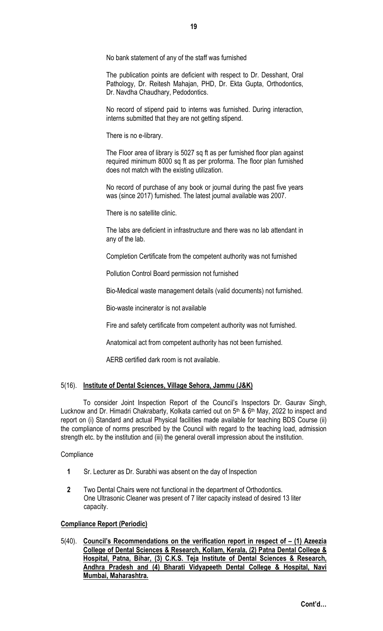No bank statement of any of the staff was furnished

The publication points are deficient with respect to Dr. Desshant, Oral Pathology, Dr. Reitesh Mahajan, PHD, Dr. Ekta Gupta, Orthodontics, Dr. Navdha Chaudhary, Pedodontics.

No record of stipend paid to interns was furnished. During interaction, interns submitted that they are not getting stipend.

There is no e-library.

The Floor area of library is 5027 sq ft as per furnished floor plan against required minimum 8000 sq ft as per proforma. The floor plan furnished does not match with the existing utilization.

No record of purchase of any book or journal during the past five years was (since 2017) furnished. The latest journal available was 2007.

There is no satellite clinic.

The labs are deficient in infrastructure and there was no lab attendant in any of the lab.

Completion Certificate from the competent authority was not furnished

Pollution Control Board permission not furnished

Bio-Medical waste management details (valid documents) not furnished.

Bio-waste incinerator is not available

Fire and safety certificate from competent authority was not furnished.

Anatomical act from competent authority has not been furnished.

AERB certified dark room is not available.

## 5(16). Institute of Dental Sciences, Village Sehora, Jammu (J&K)

To consider Joint Inspection Report of the Council's Inspectors Dr. Gaurav Singh, Lucknow and Dr. Himadri Chakrabarty, Kolkata carried out on 5<sup>th</sup> & 6<sup>th</sup> May, 2022 to inspect and report on (i) Standard and actual Physical facilities made available for teaching BDS Course (ii) the compliance of norms prescribed by the Council with regard to the teaching load, admission strength etc. by the institution and (iii) the general overall impression about the institution.

#### **Compliance**

- 1 Sr. Lecturer as Dr. Surabhi was absent on the day of Inspection
- 2 Two Dental Chairs were not functional in the department of Orthodontics. One Ultrasonic Cleaner was present of 7 liter capacity instead of desired 13 liter capacity.

## Compliance Report (Periodic)

5(40). Council's Recommendations on the verification report in respect of – (1) Azeezia College of Dental Sciences & Research, Kollam, Kerala, (2) Patna Dental College & Hospital, Patna, Bihar, (3) C.K.S. Teja Institute of Dental Sciences & Research, Andhra Pradesh and (4) Bharati Vidyapeeth Dental College & Hospital, Navi Mumbai, Maharashtra.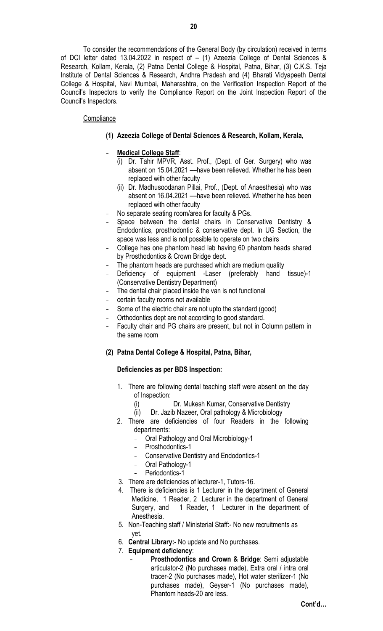To consider the recommendations of the General Body (by circulation) received in terms of DCI letter dated 13.04.2022 in respect of – (1) Azeezia College of Dental Sciences & Research, Kollam, Kerala, (2) Patna Dental College & Hospital, Patna, Bihar, (3) C.K.S. Teja Institute of Dental Sciences & Research, Andhra Pradesh and (4) Bharati Vidyapeeth Dental College & Hospital, Navi Mumbai, Maharashtra, on the Verification Inspection Report of the Council's Inspectors to verify the Compliance Report on the Joint Inspection Report of the Council's Inspectors.

## **Compliance**

- (1) Azeezia College of Dental Sciences & Research, Kollam, Kerala,
- Medical College Staff:
	- (i) Dr. Tahir MPVR, Asst. Prof., (Dept. of Ger. Surgery) who was absent on 15.04.2021 ––have been relieved. Whether he has been replaced with other faculty
	- (ii) Dr. Madhusoodanan Pillai, Prof., (Dept. of Anaesthesia) who was absent on 16.04.2021 ––have been relieved. Whether he has been replaced with other faculty
- No separate seating room/area for faculty & PGs.
- Space between the dental chairs in Conservative Dentistry & Endodontics, prosthodontic & conservative dept. In UG Section, the space was less and is not possible to operate on two chairs
- College has one phantom head lab having 60 phantom heads shared by Prosthodontics & Crown Bridge dept.
- The phantom heads are purchased which are medium quality
- Deficiency of equipment -Laser (preferably hand tissue)-1 (Conservative Dentistry Department)
- The dental chair placed inside the van is not functional
- certain faculty rooms not available
- Some of the electric chair are not upto the standard (good)
- Orthodontics dept are not according to good standard.
- Faculty chair and PG chairs are present, but not in Column pattern in the same room
- (2) Patna Dental College & Hospital, Patna, Bihar,

# Deficiencies as per BDS Inspection:

- 1. There are following dental teaching staff were absent on the day of Inspection:
	- (i) Dr. Mukesh Kumar, Conservative Dentistry
	- (ii) Dr. Jazib Nazeer, Oral pathology & Microbiology
- 2. There are deficiencies of four Readers in the following departments:
	- Oral Pathology and Oral Microbiology-1
	- Prosthodontics-1
	- Conservative Dentistry and Endodontics-1
	- Oral Pathology-1
	- Periodontics-1
- 3. There are deficiencies of lecturer-1, Tutors-16.
- 4. There is deficiencies is 1 Lecturer in the department of General Medicine, 1 Reader, 2 Lecturer in the department of General Surgery, and 1 Reader, 1 Lecturer in the department of Anesthesia.
- 5. Non-Teaching staff / Ministerial Staff:- No new recruitments as yet.
- 6. Central Library:- No update and No purchases.
- 7. Equipment deficiency:
	- Prosthodontics and Crown & Bridge: Semi adjustable articulator-2 (No purchases made), Extra oral / intra oral tracer-2 (No purchases made), Hot water sterilizer-1 (No purchases made), Geyser-1 (No purchases made), Phantom heads-20 are less.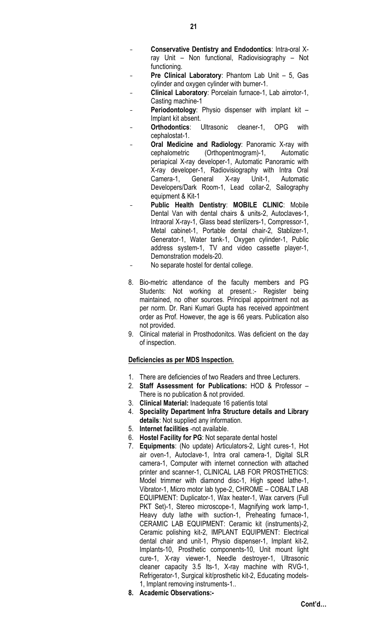- Conservative Dentistry and Endodontics: Intra-oral Xray Unit – Non functional, Radiovisiography – Not functioning.
- Pre Clinical Laboratory: Phantom Lab Unit 5, Gas cylinder and oxygen cylinder with burner-1.
- Clinical Laboratory: Porcelain furnace-1, Lab airrotor-1, Casting machine-1
- **Periodontology:** Physio dispenser with implant kit  $-$ Implant kit absent.
- **Orthodontics:** Ultrasonic cleaner-1, OPG with cephalostat-1.
- Oral Medicine and Radiology: Panoramic X-ray with cephalometric (Orthopentmogram)-1, Automatic periapical X-ray developer-1, Automatic Panoramic with X-ray developer-1, Radiovisiography with Intra Oral Camera-1, General X-ray Unit-1, Automatic Developers/Dark Room-1, Lead collar-2, Sailography equipment & Kit-1
- Public Health Dentistry: MOBILE CLINIC: Mobile Dental Van with dental chairs & units-2, Autoclaves-1, Intraoral X-ray-1, Glass bead sterilizers-1, Compressor-1, Metal cabinet-1, Portable dental chair-2, Stablizer-1, Generator-1, Water tank-1, Oxygen cylinder-1, Public address system-1, TV and video cassette player-1, Demonstration models-20.
- No separate hostel for dental college.
- 8. Bio-metric attendance of the faculty members and PG Students: Not working at present.:- Register being maintained, no other sources. Principal appointment not as per norm. Dr. Rani Kumari Gupta has received appointment order as Prof. However, the age is 66 years. Publication also not provided.
- 9. Clinical material in Prosthodonitcs. Was deficient on the day of inspection.

## Deficiencies as per MDS Inspection.

- 1. There are deficiencies of two Readers and three Lecturers.
- 2. Staff Assessment for Publications: HOD & Professor There is no publication & not provided.
- 3. Clinical Material: Inadequate 16 patientis total
- 4. Speciality Department Infra Structure details and Library details: Not supplied any information.
- 5. Internet facilities -not available.
- 6. Hostel Facility for PG: Not separate dental hostel
- 7. Equipments: (No update) Articulators-2, Light cures-1, Hot air oven-1, Autoclave-1, Intra oral camera-1, Digital SLR camera-1, Computer with internet connection with attached printer and scanner-1, CLINICAL LAB FOR PROSTHETICS: Model trimmer with diamond disc-1, High speed lathe-1, Vibrator-1, Micro motor lab type-2, CHROME – COBALT LAB EQUIPMENT: Duplicator-1, Wax heater-1, Wax carvers (Full PKT Set)-1, Stereo microscope-1, Magnifying work lamp-1, Heavy duty lathe with suction-1, Preheating furnace-1, CERAMIC LAB EQUIPMENT: Ceramic kit (instruments)-2, Ceramic polishing kit-2, IMPLANT EQUIPMENT: Electrical dental chair and unit-1, Physio dispenser-1, Implant kit-2, Implants-10, Prosthetic components-10, Unit mount light cure-1, X-ray viewer-1, Needle destroyer-1, Ultrasonic cleaner capacity 3.5 lts-1, X-ray machine with RVG-1, Refrigerator-1, Surgical kit/prosthetic kit-2, Educating models-1, Implant removing instruments-1..
- 8. Academic Observations:-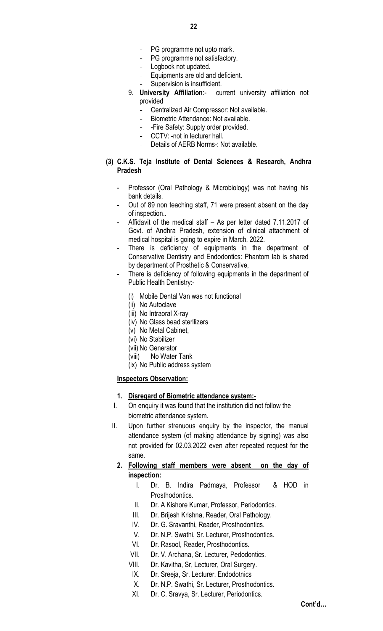- PG programme not upto mark.
- PG programme not satisfactory.
- Logbook not updated.
- Equipments are old and deficient.
- Supervision is insufficient.
- 9. University Affiliation:- current university affiliation not provided
	- Centralized Air Compressor: Not available.
	- Biometric Attendance: Not available.
	- -Fire Safety: Supply order provided.
	- CCTV: -not in lecturer hall.
	- Details of AERB Norms-: Not available.
- (3) C.K.S. Teja Institute of Dental Sciences & Research, Andhra Pradesh
	- Professor (Oral Pathology & Microbiology) was not having his bank details.
	- Out of 89 non teaching staff, 71 were present absent on the day of inspection..
	- Affidavit of the medical staff As per letter dated 7.11.2017 of Govt. of Andhra Pradesh, extension of clinical attachment of medical hospital is going to expire in March, 2022.
	- There is deficiency of equipments in the department of Conservative Dentistry and Endodontics: Phantom lab is shared by department of Prosthetic & Conservative,
	- There is deficiency of following equipments in the department of Public Health Dentistry:-
		- (i) Mobile Dental Van was not functional
		- (ii) No Autoclave
		- (iii) No Intraoral X-ray
		- (iv) No Glass bead sterilizers
		- (v) No Metal Cabinet,
		- (vi) No Stabilizer
		- (vii) No Generator
		- (viii) No Water Tank
		- (ix) No Public address system

# Inspectors Observation:

# 1. Disregard of Biometric attendance system:-

- I. On enquiry it was found that the institution did not follow the biometric attendance system.
- II. Upon further strenuous enquiry by the inspector, the manual attendance system (of making attendance by signing) was also not provided for 02.03.2022 even after repeated request for the same.
	- 2. Following staff members were absent on the day of inspection:
		- I. Dr. B. Indira Padmaya, Professor & HOD in Prosthodontics.
		- II. Dr. A Kishore Kumar, Professor, Periodontics.
		- III. Dr. Brijesh Krishna, Reader, Oral Pathology.
		- IV. Dr. G. Sravanthi, Reader, Prosthodontics.
		- V. Dr. N.P. Swathi, Sr. Lecturer, Prosthodontics.
		- VI. Dr. Rasool, Reader, Prosthodontics.
		- VII. Dr. V. Archana, Sr. Lecturer, Pedodontics.
		- VIII. Dr. Kavitha, Sr, Lecturer, Oral Surgery.
		- IX. Dr. Sreeja, Sr. Lecturer, Endodotnics
		- X. Dr. N.P. Swathi, Sr. Lecturer, Prosthodontics.
		- XI. Dr. C. Sravya, Sr. Lecturer, Periodontics.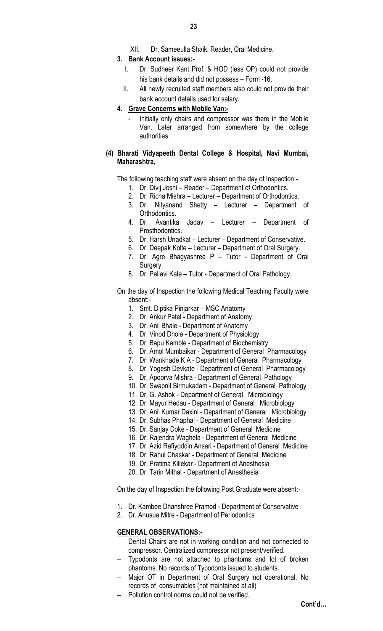XII. Dr. Sameeulla Shaik, Reader, Oral Medicine.

### 3. Bank Account issues:-

- I. Dr. Sudheer Kant Prof. & HOD (less OP) could not provide his bank details and did not possess – Form -16.
- II. All newly recruited staff members also could not provide their bank account details used for salary.

#### 4. Grave Concerns with Mobile Van:-

Initially only chairs and compressor was there in the Mobile Van. Later arranged from somewhere by the college authorities.

#### (4) Bharati Vidyapeeth Dental College & Hospital, Navi Mumbai, Maharashtra,

The following teaching staff were absent on the day of Inspection:-

- 1. Dr. Divij Joshi Reader Department of Orthodontics.
- 2. Dr. Richa Mishra Lecturer Department of Orthodontics.
- 3. Dr. Nityanand Shetty Lecturer Department of Orthodontics.
- 4. Dr. Avantika Jadav Lecturer Department of Prosthodontics.
- 5. Dr. Harsh Unadkat Lecturer Department of Conservative.
- 6. Dr. Deepak Kolte Lecturer Department of Oral Surgery.
- 7. Dr. Agre Bhagyashree P Tutor Department of Oral Surgery.
- 8. Dr. Pallavi Kale Tutor Department of Oral Pathology.
- On the day of Inspection the following Medical Teaching Faculty were absent:-
	- 1. Smt. Diptika Pinjarkar MSC Anatomy
	- 2. Dr. Ankur Patel Department of Anatomy
	- 3. Dr. Anil Bhale Department of Anatomy
	- 4. Dr. Vinod Dhole Department of Physiology
	- 5. Dr. Bapu Kamble Department of Biochemistry
	- 6. Dr. Amol Mumbaikar Department of General Pharmacology
	- 7. Dr. Wankhade K A Department of General Pharmacology
	- 8. Dr. Yogesh Devkate Department of General Pharmacology
	- 9. Dr. Apoorva Mishra Department of General Pathology
	- 10. Dr. Swapnil Sirmukadam Department of General Pathology
	- 11. Dr. G. Ashok Department of General Microbiology
	- 12. Dr. Mayur Hedau Department of General Microbiology
	- 13. Dr. Anil Kumar Daxini Department of General Microbiology
	- 14. Dr. Subhas Phaphal Department of General Medicine
	- 15. Dr. Sanjay Doke Department of General Medicine
	- 16. Dr. Rajendra Waghela Department of General Medicine
	- 17. Dr. Azid Rafiyoddin Ansari Department of General Medicine
	- 18. Dr. Rahul Chaskar Department of General Medicine
	- 19. Dr. Pratima Killekar Department of Anesthesia
	- 20. Dr. Tarin Mithal Department of Anesthesia

On the day of Inspection the following Post Graduate were absent:-

- 1. Dr. Kambee Dhanshree Pramod Department of Conservative
- 2. Dr. Anusua Mitre Department of Periodontics

## GENERAL OBSERVATIONS:-

- Dental Chairs are not in working condition and not connected to compressor. Centralized compressor not present/verified.
- Typodonts are not attached to phantoms and lot of broken phantoms. No records of Typodonts issued to students.
- Major OT in Department of Oral Surgery not operational. No records of consumables (not maintained at all)
- Pollution control norms could not be verified.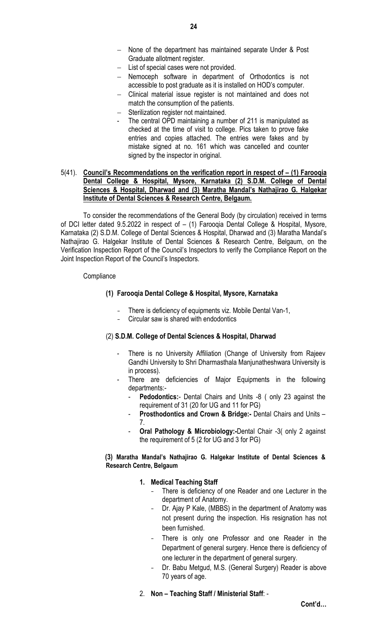- None of the department has maintained separate Under & Post Graduate allotment register.
- List of special cases were not provided.
- Nemoceph software in department of Orthodontics is not accessible to post graduate as it is installed on HOD's computer.
- Clinical material issue register is not maintained and does not match the consumption of the patients.
- Sterilization register not maintained.
- The central OPD maintaining a number of 211 is manipulated as checked at the time of visit to college. Pics taken to prove fake entries and copies attached. The entries were fakes and by mistake signed at no. 161 which was cancelled and counter signed by the inspector in original.

## 5(41). Council's Recommendations on the verification report in respect of – (1) Farooqia Dental College & Hospital, Mysore, Karnataka (2) S.D.M. College of Dental Sciences & Hospital, Dharwad and (3) Maratha Mandal's Nathajirao G. Halgekar Institute of Dental Sciences & Research Centre, Belgaum.

To consider the recommendations of the General Body (by circulation) received in terms of DCI letter dated 9.5.2022 in respect of – (1) Farooqia Dental College & Hospital, Mysore, Karnataka (2) S.D.M. College of Dental Sciences & Hospital, Dharwad and (3) Maratha Mandal's Nathajirao G. Halgekar Institute of Dental Sciences & Research Centre, Belgaum, on the Verification Inspection Report of the Council's Inspectors to verify the Compliance Report on the Joint Inspection Report of the Council's Inspectors.

#### **Compliance**

## (1) Farooqia Dental College & Hospital, Mysore, Karnataka

- There is deficiency of equipments viz. Mobile Dental Van-1,
- Circular saw is shared with endodontics

## (2) S.D.M. College of Dental Sciences & Hospital, Dharwad

- There is no University Affiliation (Change of University from Rajeev Gandhi University to Shri Dharmasthala Manjunatheshwara University is in process).
- There are deficiencies of Major Equipments in the following departments:-
	- Pedodontics:- Dental Chairs and Units -8 ( only 23 against the requirement of 31 (20 for UG and 11 for PG)
	- Prosthodontics and Crown & Bridge:- Dental Chairs and Units -7.
	- Oral Pathology & Microbiology:-Dental Chair -3( only 2 against the requirement of 5 (2 for UG and 3 for PG)

#### (3) Maratha Mandal's Nathajirao G. Halgekar Institute of Dental Sciences & Research Centre, Belgaum

## 1. Medical Teaching Staff

- There is deficiency of one Reader and one Lecturer in the department of Anatomy.
- Dr. Ajay P Kale, (MBBS) in the department of Anatomy was not present during the inspection. His resignation has not been furnished.
- There is only one Professor and one Reader in the Department of general surgery. Hence there is deficiency of one lecturer in the department of general surgery.
- Dr. Babu Metgud, M.S. (General Surgery) Reader is above 70 years of age.
- 2. Non Teaching Staff / Ministerial Staff: -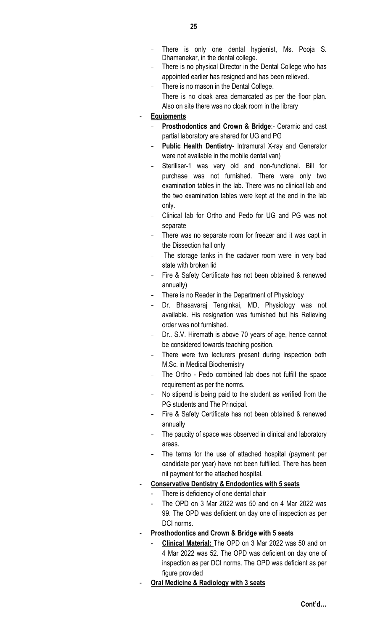- There is only one dental hygienist, Ms. Pooja S. Dhamanekar, in the dental college.
- There is no physical Director in the Dental College who has appointed earlier has resigned and has been relieved.
- There is no mason in the Dental College. There is no cloak area demarcated as per the floor plan. Also on site there was no cloak room in the library
- **Equipments** 
	- Prosthodontics and Crown & Bridge:- Ceramic and cast partial laboratory are shared for UG and PG
	- Public Health Dentistry- Intramural X-ray and Generator were not available in the mobile dental van)
	- Steriliser-1 was very old and non-functional. Bill for purchase was not furnished. There were only two examination tables in the lab. There was no clinical lab and the two examination tables were kept at the end in the lab only.
	- Clinical lab for Ortho and Pedo for UG and PG was not separate
	- There was no separate room for freezer and it was capt in the Dissection hall only
	- The storage tanks in the cadaver room were in very bad state with broken lid
	- Fire & Safety Certificate has not been obtained & renewed annually)
	- There is no Reader in the Department of Physiology
	- Dr. Bhasavaraj Tenginkai, MD, Physiology was not available. His resignation was furnished but his Relieving order was not furnished.
	- Dr.. S.V. Hiremath is above 70 years of age, hence cannot be considered towards teaching position.
	- There were two lecturers present during inspection both M.Sc. in Medical Biochemistry
	- The Ortho Pedo combined lab does not fulfill the space requirement as per the norms.
	- No stipend is being paid to the student as verified from the PG students and The Principal.
	- Fire & Safety Certificate has not been obtained & renewed annually
	- The paucity of space was observed in clinical and laboratory areas.
	- The terms for the use of attached hospital (payment per candidate per year) have not been fulfilled. There has been nil payment for the attached hospital.

# Conservative Dentistry & Endodontics with 5 seats

- There is deficiency of one dental chair
- The OPD on 3 Mar 2022 was 50 and on 4 Mar 2022 was 99. The OPD was deficient on day one of inspection as per DCI norms.
- Prosthodontics and Crown & Bridge with 5 seats
	- Clinical Material: The OPD on 3 Mar 2022 was 50 and on 4 Mar 2022 was 52. The OPD was deficient on day one of inspection as per DCI norms. The OPD was deficient as per figure provided
- Oral Medicine & Radiology with 3 seats